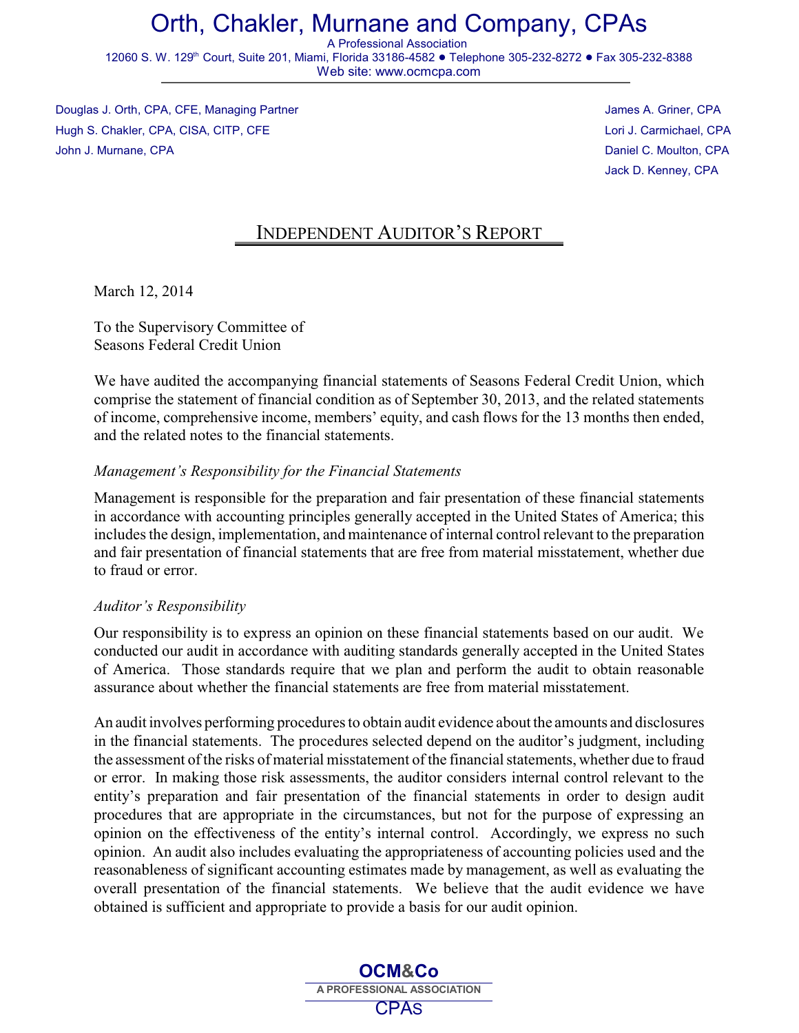# Orth, Chakler, Murnane and Company, CPAs

A Professional Association 12060 S. W. 129<sup>th</sup> Court, Suite 201, Miami, Florida 33186-4582 ● Telephone 305-232-8272 ● Fax 305-232-8388 Web site: www.ocmcpa.com

Douglas J. Orth, CPA, CFE, Managing Partner James A. Griner, CPA James A. Griner, CPA Hugh S. Chakler, CPA, CISA, CITP, CFE Lori J. Carmichael, CPA John J. Murnane, CPA Daniel C. Moulton, CPA

Jack D. Kenney, CPA

## INDEPENDENT AUDITOR'S REPORT

March 12, 2014

To the Supervisory Committee of Seasons Federal Credit Union

We have audited the accompanying financial statements of Seasons Federal Credit Union, which comprise the statement of financial condition as of September 30, 2013, and the related statements of income, comprehensive income, members' equity, and cash flows for the 13 months then ended, and the related notes to the financial statements.

### *Management's Responsibility for the Financial Statements*

Management is responsible for the preparation and fair presentation of these financial statements in accordance with accounting principles generally accepted in the United States of America; this includes the design, implementation, and maintenance of internal control relevant to the preparation and fair presentation of financial statements that are free from material misstatement, whether due to fraud or error.

### *Auditor's Responsibility*

Our responsibility is to express an opinion on these financial statements based on our audit. We conducted our audit in accordance with auditing standards generally accepted in the United States of America. Those standards require that we plan and perform the audit to obtain reasonable assurance about whether the financial statements are free from material misstatement.

An audit involves performing procedures to obtain audit evidence about the amounts and disclosures in the financial statements. The procedures selected depend on the auditor's judgment, including the assessment of the risks of material misstatement of the financial statements, whether due to fraud or error. In making those risk assessments, the auditor considers internal control relevant to the entity's preparation and fair presentation of the financial statements in order to design audit procedures that are appropriate in the circumstances, but not for the purpose of expressing an opinion on the effectiveness of the entity's internal control. Accordingly, we express no such opinion. An audit also includes evaluating the appropriateness of accounting policies used and the reasonableness of significant accounting estimates made by management, as well as evaluating the overall presentation of the financial statements. We believe that the audit evidence we have obtained is sufficient and appropriate to provide a basis for our audit opinion.

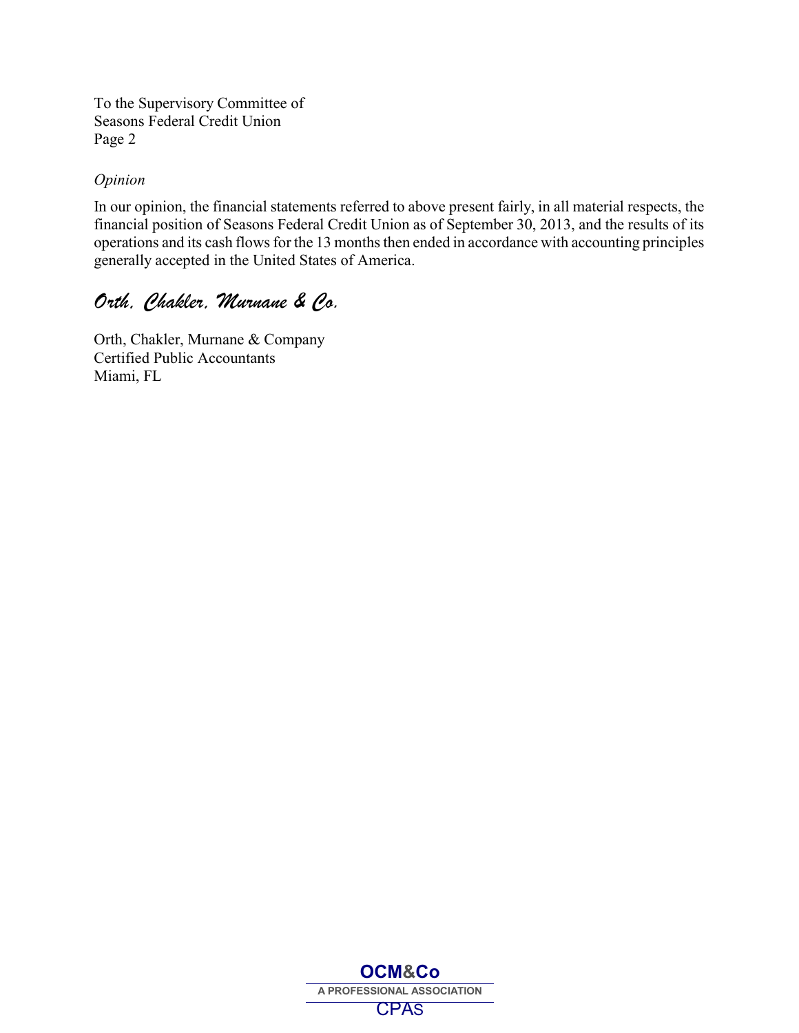To the Supervisory Committee of Seasons Federal Credit Union Page 2

#### *Opinion*

In our opinion, the financial statements referred to above present fairly, in all material respects, the financial position of Seasons Federal Credit Union as of September 30, 2013, and the results of its operations and its cash flows for the 13 months then ended in accordance with accounting principles generally accepted in the United States of America.

## *Orth, Chakler, Murnane & Co.*

Orth, Chakler, Murnane & Company Certified Public Accountants Miami, FL

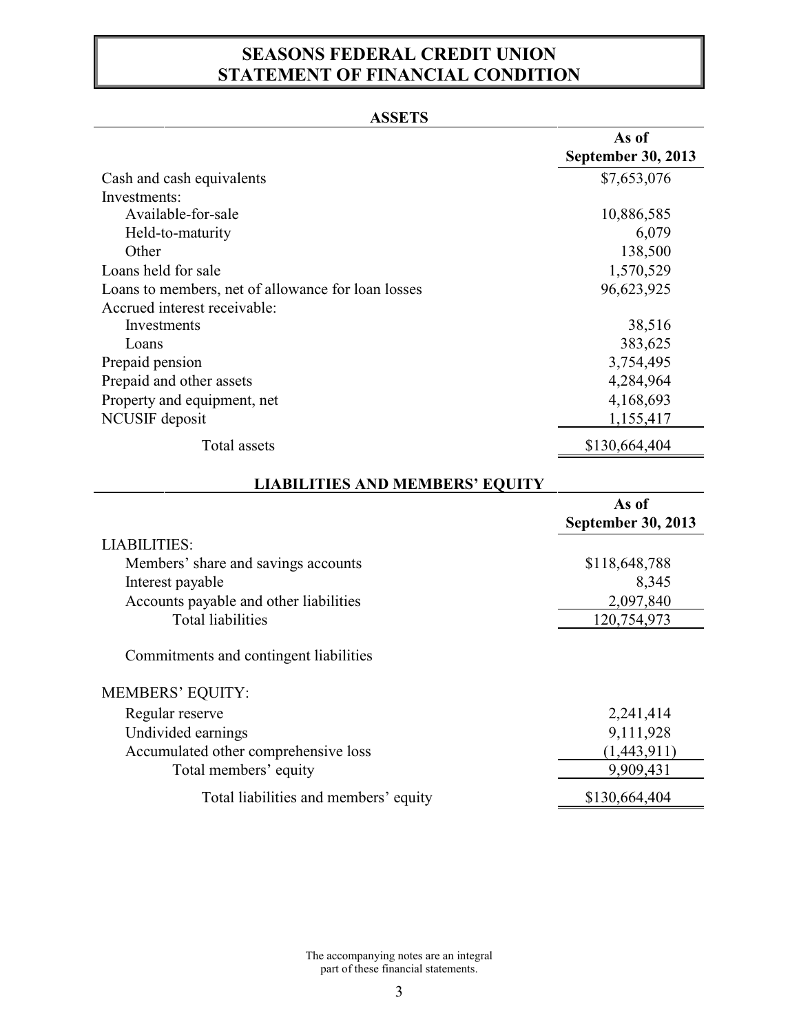## **SEASONS FEDERAL CREDIT UNION STATEMENT OF FINANCIAL CONDITION**

### **ASSETS**

| Cash and cash equivalents                          | <b>September 30, 2013</b><br>\$7,653,076 |
|----------------------------------------------------|------------------------------------------|
|                                                    |                                          |
| Investments:                                       |                                          |
| Available-for-sale                                 | 10,886,585                               |
| Held-to-maturity                                   | 6,079                                    |
| Other                                              | 138,500                                  |
| Loans held for sale                                | 1,570,529                                |
| Loans to members, net of allowance for loan losses | 96,623,925                               |
| Accrued interest receivable:                       |                                          |
| Investments                                        | 38,516                                   |
| Loans                                              | 383,625                                  |
| Prepaid pension                                    | 3,754,495                                |
| Prepaid and other assets                           | 4,284,964                                |
| Property and equipment, net                        | 4,168,693                                |
| NCUSIF deposit                                     | 1,155,417                                |
| <b>Total</b> assets                                | \$130,664,404                            |
| <b>LIABILITIES AND MEMBERS' EQUITY</b>             |                                          |
|                                                    | As of                                    |
|                                                    | <b>September 30, 2013</b>                |
| <b>LIABILITIES:</b>                                |                                          |
| Members' share and savings accounts                | \$118,648,788                            |
| Interest payable                                   | 8,345                                    |
| Accounts payable and other liabilities             | 2,097,840                                |
| <b>Total liabilities</b>                           | 120,754,973                              |
| Commitments and contingent liabilities             |                                          |
| <b>MEMBERS' EQUITY:</b>                            |                                          |
| Regular reserve                                    | 2,241,414                                |
| Undivided earnings                                 | 9,111,928                                |
| Accumulated other comprehensive loss               | (1,443,911)                              |
| Total members' equity                              | 9,909,431                                |
| Total liabilities and members' equity              | \$130,664,404                            |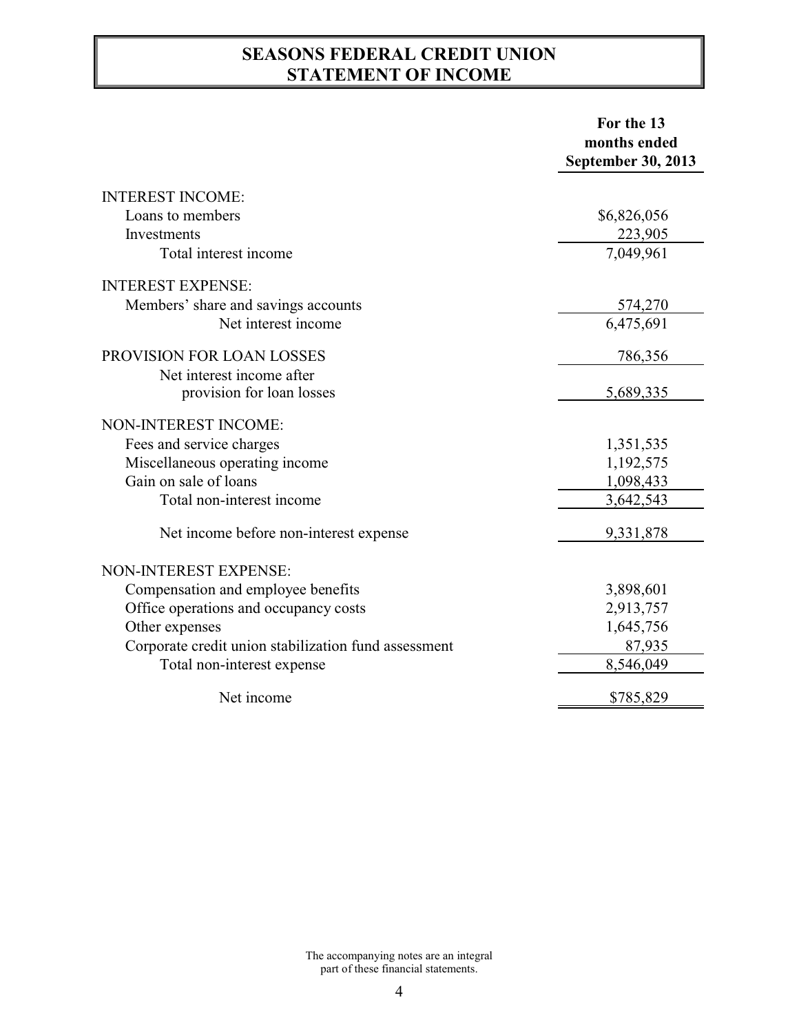## **SEASONS FEDERAL CREDIT UNION STATEMENT OF INCOME**

|                                                      | For the 13                |
|------------------------------------------------------|---------------------------|
|                                                      | months ended              |
|                                                      | <b>September 30, 2013</b> |
| <b>INTEREST INCOME:</b>                              |                           |
| Loans to members                                     | \$6,826,056               |
| Investments                                          | 223,905                   |
| Total interest income                                | 7,049,961                 |
| <b>INTEREST EXPENSE:</b>                             |                           |
| Members' share and savings accounts                  | 574,270                   |
| Net interest income                                  | 6,475,691                 |
| PROVISION FOR LOAN LOSSES                            | 786,356                   |
| Net interest income after                            |                           |
| provision for loan losses                            | 5,689,335                 |
| NON-INTEREST INCOME:                                 |                           |
| Fees and service charges                             | 1,351,535                 |
| Miscellaneous operating income                       | 1,192,575                 |
| Gain on sale of loans                                | 1,098,433                 |
| Total non-interest income                            | 3,642,543                 |
| Net income before non-interest expense               | 9,331,878                 |
| NON-INTEREST EXPENSE:                                |                           |
| Compensation and employee benefits                   | 3,898,601                 |
| Office operations and occupancy costs                | 2,913,757                 |
| Other expenses                                       | 1,645,756                 |
| Corporate credit union stabilization fund assessment | 87,935                    |
| Total non-interest expense                           | 8,546,049                 |
| Net income                                           | \$785,829                 |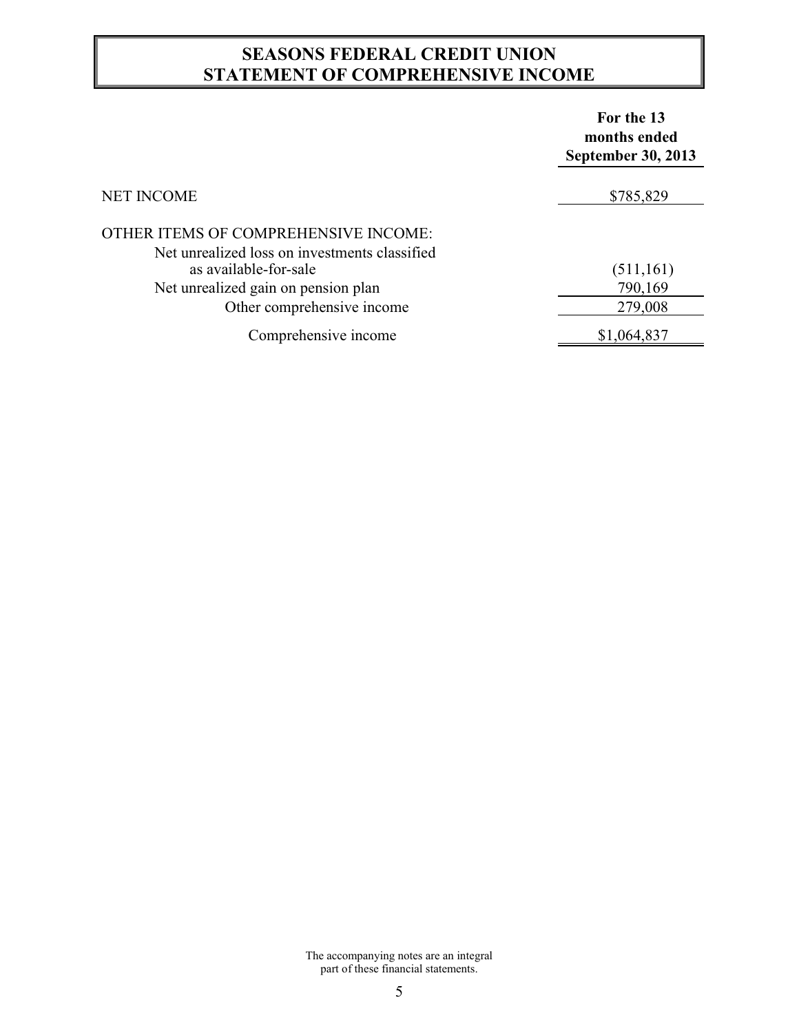## **SEASONS FEDERAL CREDIT UNION STATEMENT OF COMPREHENSIVE INCOME**

|                                                                                       | For the 13<br>months ended<br><b>September 30, 2013</b> |
|---------------------------------------------------------------------------------------|---------------------------------------------------------|
| <b>NET INCOME</b>                                                                     | \$785,829                                               |
| OTHER ITEMS OF COMPREHENSIVE INCOME:<br>Net unrealized loss on investments classified |                                                         |
| as available-for-sale                                                                 | (511, 161)                                              |
| Net unrealized gain on pension plan                                                   | 790,169                                                 |
| Other comprehensive income                                                            | 279,008                                                 |
| Comprehensive income                                                                  | \$1,064,837                                             |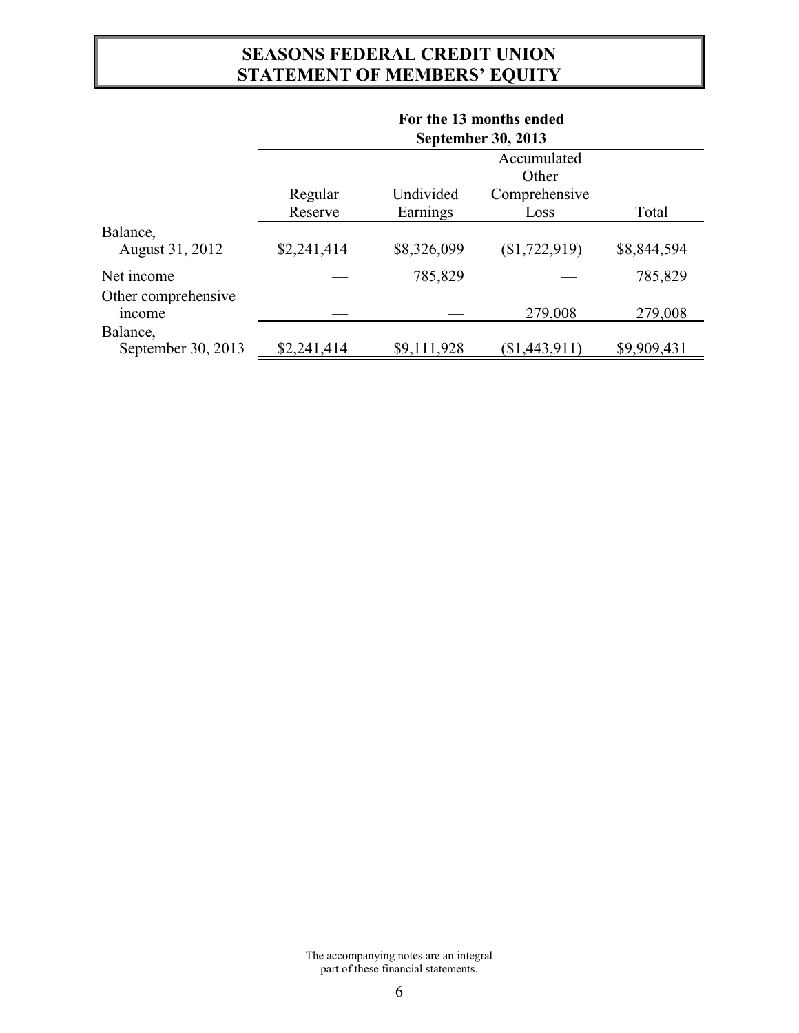## **SEASONS FEDERAL CREDIT UNION STATEMENT OF MEMBERS' EQUITY**

|                                | For the 13 months ended   |             |                 |             |
|--------------------------------|---------------------------|-------------|-----------------|-------------|
|                                | <b>September 30, 2013</b> |             |                 |             |
|                                | Accumulated<br>Other      |             |                 |             |
|                                | Regular                   | Undivided   | Comprehensive   |             |
|                                | Reserve                   | Earnings    | Loss            | Total       |
| Balance,<br>August 31, 2012    | \$2,241,414               | \$8,326,099 | (\$1,722,919)   | \$8,844,594 |
| Net income                     |                           | 785,829     |                 | 785,829     |
| Other comprehensive<br>income  |                           |             | 279,008         | 279,008     |
| Balance,<br>September 30, 2013 | \$2,241,414               | \$9,111,928 | $(\$1,443,911)$ | \$9,909,431 |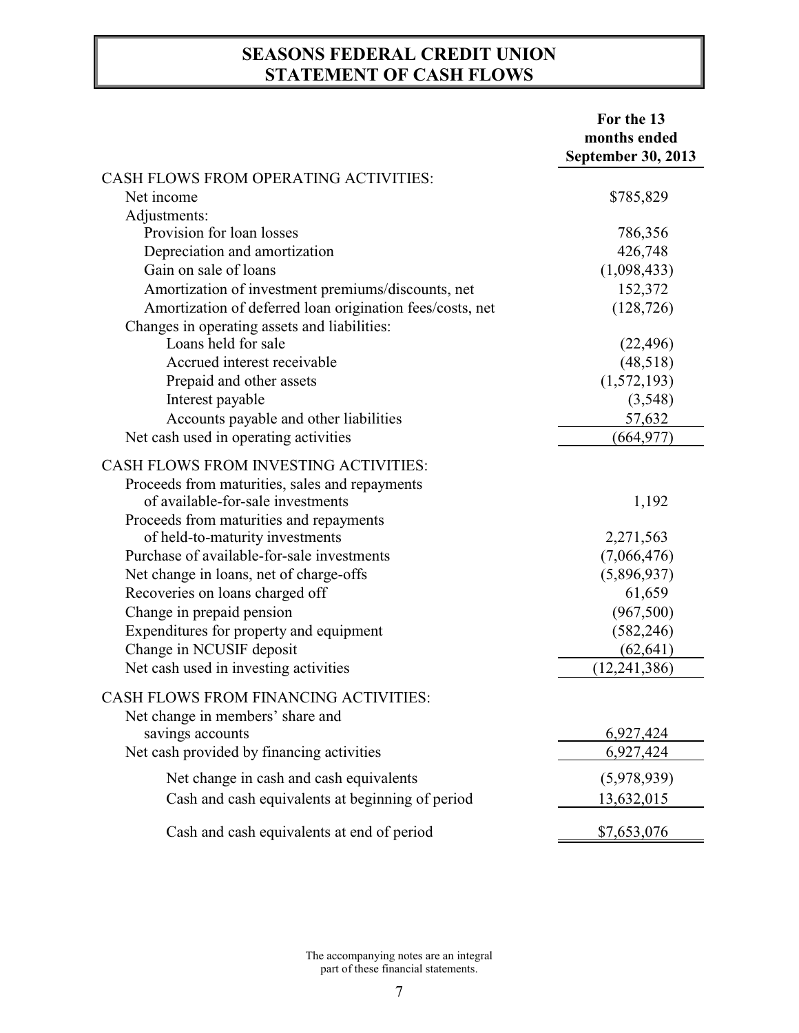## **SEASONS FEDERAL CREDIT UNION STATEMENT OF CASH FLOWS**

|                                                                                                                                                                                                                                                                                                                                                                                                                                                                                            | For the 13<br>months ended<br><b>September 30, 2013</b>                                                               |
|--------------------------------------------------------------------------------------------------------------------------------------------------------------------------------------------------------------------------------------------------------------------------------------------------------------------------------------------------------------------------------------------------------------------------------------------------------------------------------------------|-----------------------------------------------------------------------------------------------------------------------|
| <b>CASH FLOWS FROM OPERATING ACTIVITIES:</b>                                                                                                                                                                                                                                                                                                                                                                                                                                               |                                                                                                                       |
| Net income                                                                                                                                                                                                                                                                                                                                                                                                                                                                                 | \$785,829                                                                                                             |
| Adjustments:                                                                                                                                                                                                                                                                                                                                                                                                                                                                               |                                                                                                                       |
| Provision for loan losses                                                                                                                                                                                                                                                                                                                                                                                                                                                                  | 786,356                                                                                                               |
| Depreciation and amortization                                                                                                                                                                                                                                                                                                                                                                                                                                                              | 426,748                                                                                                               |
| Gain on sale of loans                                                                                                                                                                                                                                                                                                                                                                                                                                                                      | (1,098,433)                                                                                                           |
| Amortization of investment premiums/discounts, net                                                                                                                                                                                                                                                                                                                                                                                                                                         | 152,372                                                                                                               |
| Amortization of deferred loan origination fees/costs, net<br>Changes in operating assets and liabilities:                                                                                                                                                                                                                                                                                                                                                                                  | (128, 726)                                                                                                            |
| Loans held for sale                                                                                                                                                                                                                                                                                                                                                                                                                                                                        | (22, 496)                                                                                                             |
| Accrued interest receivable                                                                                                                                                                                                                                                                                                                                                                                                                                                                | (48,518)                                                                                                              |
| Prepaid and other assets                                                                                                                                                                                                                                                                                                                                                                                                                                                                   | (1,572,193)                                                                                                           |
| Interest payable                                                                                                                                                                                                                                                                                                                                                                                                                                                                           | (3,548)                                                                                                               |
| Accounts payable and other liabilities                                                                                                                                                                                                                                                                                                                                                                                                                                                     | 57,632                                                                                                                |
| Net cash used in operating activities                                                                                                                                                                                                                                                                                                                                                                                                                                                      | (664, 977)                                                                                                            |
| <b>CASH FLOWS FROM INVESTING ACTIVITIES:</b><br>Proceeds from maturities, sales and repayments<br>of available-for-sale investments<br>Proceeds from maturities and repayments<br>of held-to-maturity investments<br>Purchase of available-for-sale investments<br>Net change in loans, net of charge-offs<br>Recoveries on loans charged off<br>Change in prepaid pension<br>Expenditures for property and equipment<br>Change in NCUSIF deposit<br>Net cash used in investing activities | 1,192<br>2,271,563<br>(7,066,476)<br>(5,896,937)<br>61,659<br>(967, 500)<br>(582, 246)<br>(62, 641)<br>(12, 241, 386) |
| CASH FLOWS FROM FINANCING ACTIVITIES:<br>Net change in members' share and<br>savings accounts<br>Net cash provided by financing activities                                                                                                                                                                                                                                                                                                                                                 | 6,927,424<br>6,927,424                                                                                                |
| Net change in cash and cash equivalents                                                                                                                                                                                                                                                                                                                                                                                                                                                    | (5,978,939)                                                                                                           |
| Cash and cash equivalents at beginning of period                                                                                                                                                                                                                                                                                                                                                                                                                                           | 13,632,015                                                                                                            |
| Cash and cash equivalents at end of period                                                                                                                                                                                                                                                                                                                                                                                                                                                 | \$7,653,076                                                                                                           |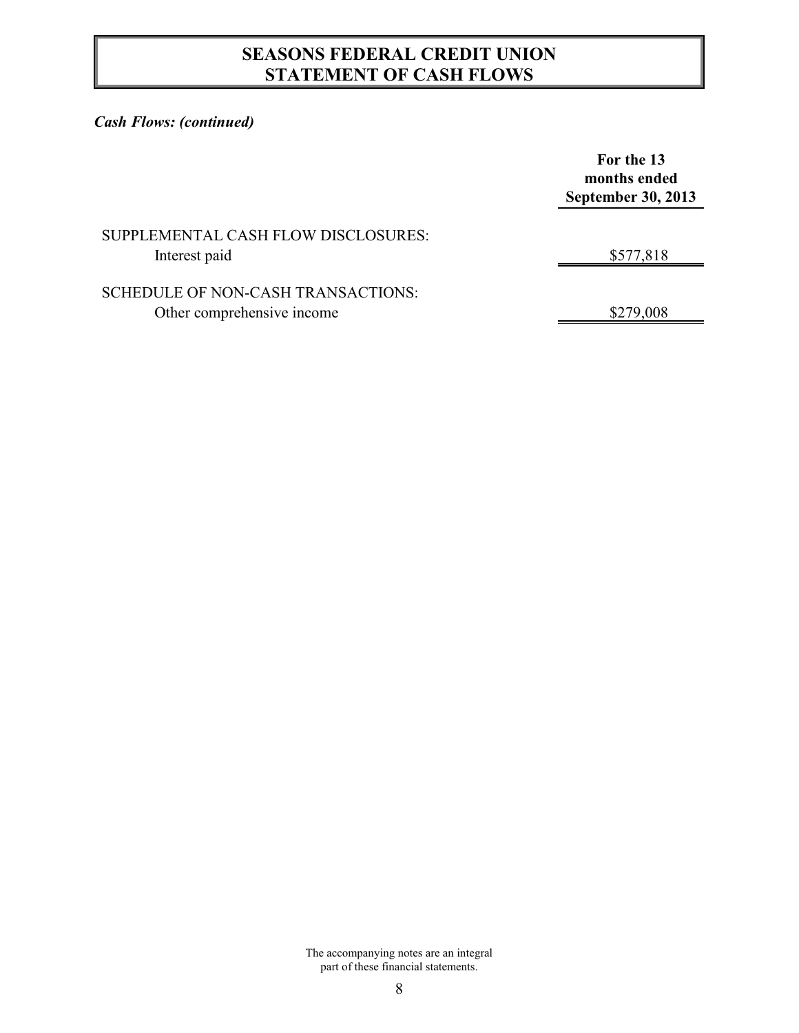## **SEASONS FEDERAL CREDIT UNION STATEMENT OF CASH FLOWS**

### *Cash Flows: (continued)*

|                                                                  | For the 13<br>months ended<br><b>September 30, 2013</b> |
|------------------------------------------------------------------|---------------------------------------------------------|
| SUPPLEMENTAL CASH FLOW DISCLOSURES:<br>Interest paid             | \$577,818                                               |
| SCHEDULE OF NON-CASH TRANSACTIONS:<br>Other comprehensive income | \$279,008                                               |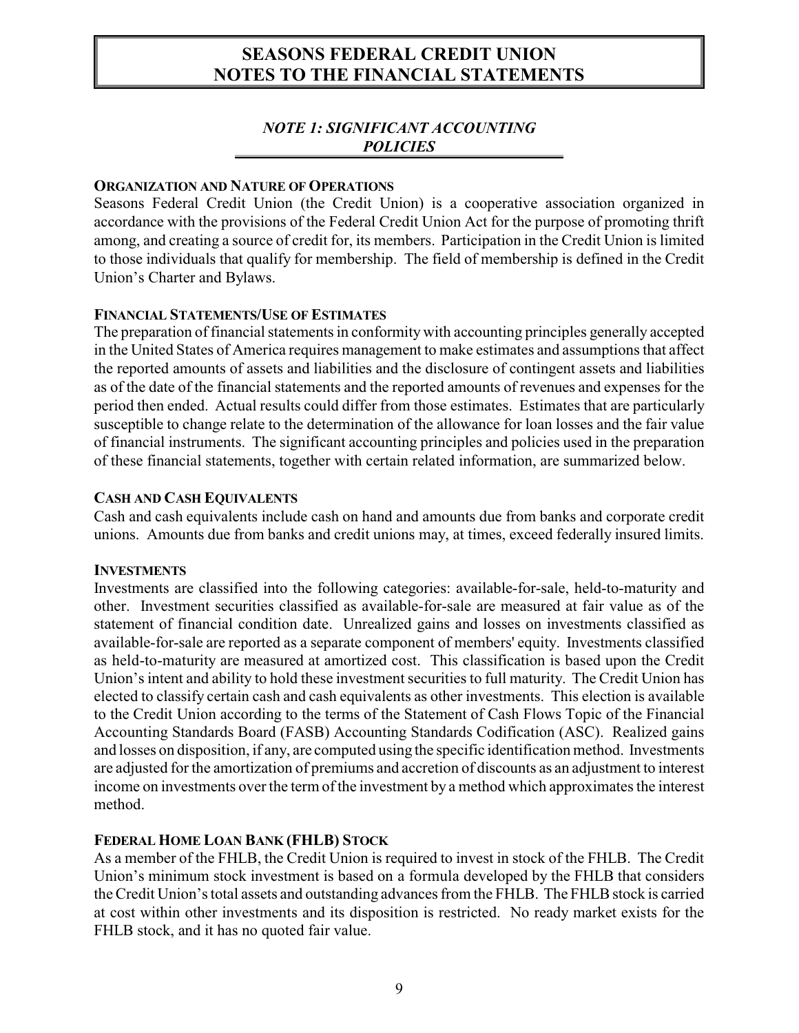### *NOTE 1: SIGNIFICANT ACCOUNTING POLICIES*

#### **ORGANIZATION AND NATURE OF OPERATIONS**

Seasons Federal Credit Union (the Credit Union) is a cooperative association organized in accordance with the provisions of the Federal Credit Union Act for the purpose of promoting thrift among, and creating a source of credit for, its members. Participation in the Credit Union is limited to those individuals that qualify for membership. The field of membership is defined in the Credit Union's Charter and Bylaws.

#### **FINANCIAL STATEMENTS/USE OF ESTIMATES**

The preparation of financial statements in conformity with accounting principles generally accepted in the United States of America requires management to make estimates and assumptions that affect the reported amounts of assets and liabilities and the disclosure of contingent assets and liabilities as of the date of the financial statements and the reported amounts of revenues and expenses for the period then ended. Actual results could differ from those estimates. Estimates that are particularly susceptible to change relate to the determination of the allowance for loan losses and the fair value of financial instruments. The significant accounting principles and policies used in the preparation of these financial statements, together with certain related information, are summarized below.

#### **CASH AND CASH EQUIVALENTS**

Cash and cash equivalents include cash on hand and amounts due from banks and corporate credit unions. Amounts due from banks and credit unions may, at times, exceed federally insured limits.

#### **INVESTMENTS**

Investments are classified into the following categories: available-for-sale, held-to-maturity and other. Investment securities classified as available-for-sale are measured at fair value as of the statement of financial condition date. Unrealized gains and losses on investments classified as available-for-sale are reported as a separate component of members' equity. Investments classified as held-to-maturity are measured at amortized cost. This classification is based upon the Credit Union's intent and ability to hold these investment securities to full maturity. The Credit Union has elected to classify certain cash and cash equivalents as other investments. This election is available to the Credit Union according to the terms of the Statement of Cash Flows Topic of the Financial Accounting Standards Board (FASB) Accounting Standards Codification (ASC). Realized gains and losses on disposition, if any, are computed using the specific identification method. Investments are adjusted for the amortization of premiums and accretion of discounts as an adjustment to interest income on investments over the term of the investment by a method which approximates the interest method.

#### **FEDERAL HOME LOAN BANK (FHLB) STOCK**

As a member of the FHLB, the Credit Union is required to invest in stock of the FHLB. The Credit Union's minimum stock investment is based on a formula developed by the FHLB that considers the Credit Union's total assets and outstanding advances from the FHLB. The FHLB stock is carried at cost within other investments and its disposition is restricted. No ready market exists for the FHLB stock, and it has no quoted fair value.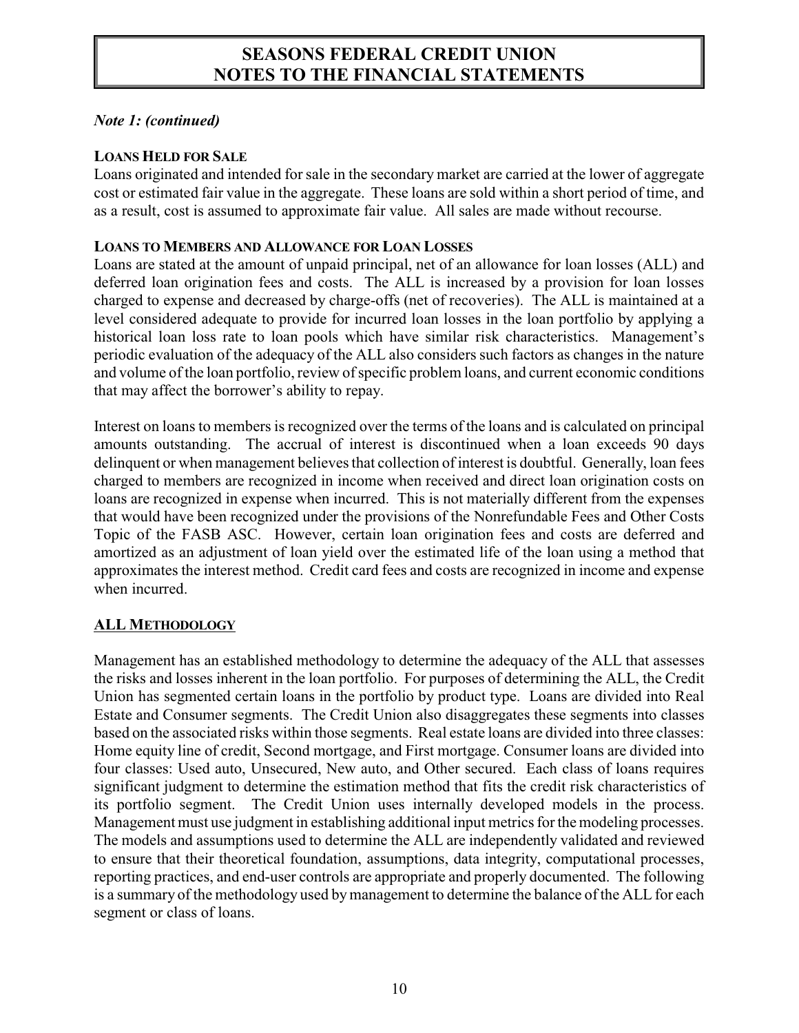#### *Note 1: (continued)*

#### **LOANS HELD FOR SALE**

Loans originated and intended for sale in the secondary market are carried at the lower of aggregate cost or estimated fair value in the aggregate. These loans are sold within a short period of time, and as a result, cost is assumed to approximate fair value. All sales are made without recourse.

#### **LOANS TO MEMBERS AND ALLOWANCE FOR LOAN LOSSES**

Loans are stated at the amount of unpaid principal, net of an allowance for loan losses (ALL) and deferred loan origination fees and costs. The ALL is increased by a provision for loan losses charged to expense and decreased by charge-offs (net of recoveries). The ALL is maintained at a level considered adequate to provide for incurred loan losses in the loan portfolio by applying a historical loan loss rate to loan pools which have similar risk characteristics. Management's periodic evaluation of the adequacy of the ALL also considers such factors as changes in the nature and volume of the loan portfolio, review of specific problem loans, and current economic conditions that may affect the borrower's ability to repay.

Interest on loans to members is recognized over the terms of the loans and is calculated on principal amounts outstanding. The accrual of interest is discontinued when a loan exceeds 90 days delinquent or when management believes that collection of interest is doubtful. Generally, loan fees charged to members are recognized in income when received and direct loan origination costs on loans are recognized in expense when incurred. This is not materially different from the expenses that would have been recognized under the provisions of the Nonrefundable Fees and Other Costs Topic of the FASB ASC. However, certain loan origination fees and costs are deferred and amortized as an adjustment of loan yield over the estimated life of the loan using a method that approximates the interest method. Credit card fees and costs are recognized in income and expense when incurred.

### **ALL METHODOLOGY**

Management has an established methodology to determine the adequacy of the ALL that assesses the risks and losses inherent in the loan portfolio. For purposes of determining the ALL, the Credit Union has segmented certain loans in the portfolio by product type. Loans are divided into Real Estate and Consumer segments. The Credit Union also disaggregates these segments into classes based on the associated risks within those segments. Real estate loans are divided into three classes: Home equity line of credit, Second mortgage, and First mortgage. Consumer loans are divided into four classes: Used auto, Unsecured, New auto, and Other secured. Each class of loans requires significant judgment to determine the estimation method that fits the credit risk characteristics of its portfolio segment. The Credit Union uses internally developed models in the process. Management must use judgment in establishing additional input metrics for the modeling processes. The models and assumptions used to determine the ALL are independently validated and reviewed to ensure that their theoretical foundation, assumptions, data integrity, computational processes, reporting practices, and end-user controls are appropriate and properly documented. The following is a summary of the methodology used by management to determine the balance of the ALL for each segment or class of loans.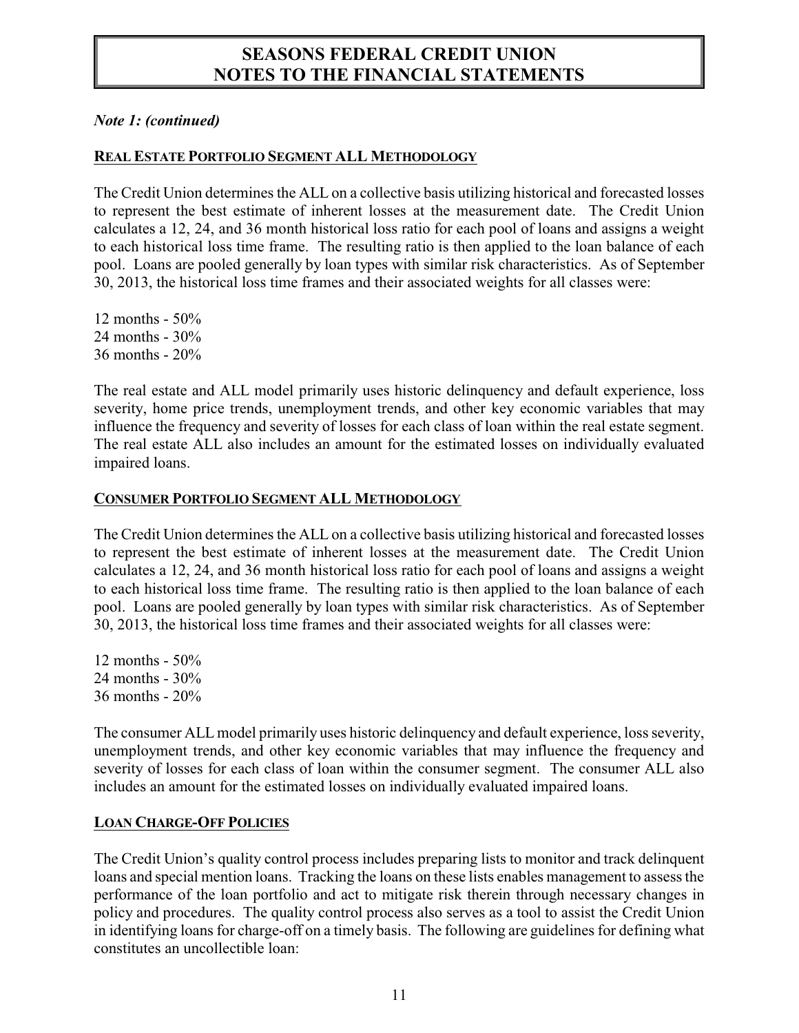#### *Note 1: (continued)*

#### **REAL ESTATE PORTFOLIO SEGMENT ALL METHODOLOGY**

The Credit Union determines the ALL on a collective basis utilizing historical and forecasted losses to represent the best estimate of inherent losses at the measurement date. The Credit Union calculates a 12, 24, and 36 month historical loss ratio for each pool of loans and assigns a weight to each historical loss time frame. The resulting ratio is then applied to the loan balance of each pool. Loans are pooled generally by loan types with similar risk characteristics. As of September 30, 2013, the historical loss time frames and their associated weights for all classes were:

12 months - 50% 24 months - 30% 36 months - 20%

The real estate and ALL model primarily uses historic delinquency and default experience, loss severity, home price trends, unemployment trends, and other key economic variables that may influence the frequency and severity of losses for each class of loan within the real estate segment. The real estate ALL also includes an amount for the estimated losses on individually evaluated impaired loans.

#### **CONSUMER PORTFOLIO SEGMENT ALL METHODOLOGY**

The Credit Union determines the ALL on a collective basis utilizing historical and forecasted losses to represent the best estimate of inherent losses at the measurement date. The Credit Union calculates a 12, 24, and 36 month historical loss ratio for each pool of loans and assigns a weight to each historical loss time frame. The resulting ratio is then applied to the loan balance of each pool. Loans are pooled generally by loan types with similar risk characteristics. As of September 30, 2013, the historical loss time frames and their associated weights for all classes were:

12 months - 50% 24 months - 30% 36 months - 20%

The consumer ALL model primarily uses historic delinquency and default experience, loss severity, unemployment trends, and other key economic variables that may influence the frequency and severity of losses for each class of loan within the consumer segment. The consumer ALL also includes an amount for the estimated losses on individually evaluated impaired loans.

#### **LOAN CHARGE-OFF POLICIES**

The Credit Union's quality control process includes preparing lists to monitor and track delinquent loans and special mention loans. Tracking the loans on these lists enables management to assess the performance of the loan portfolio and act to mitigate risk therein through necessary changes in policy and procedures. The quality control process also serves as a tool to assist the Credit Union in identifying loans for charge-off on a timely basis. The following are guidelines for defining what constitutes an uncollectible loan: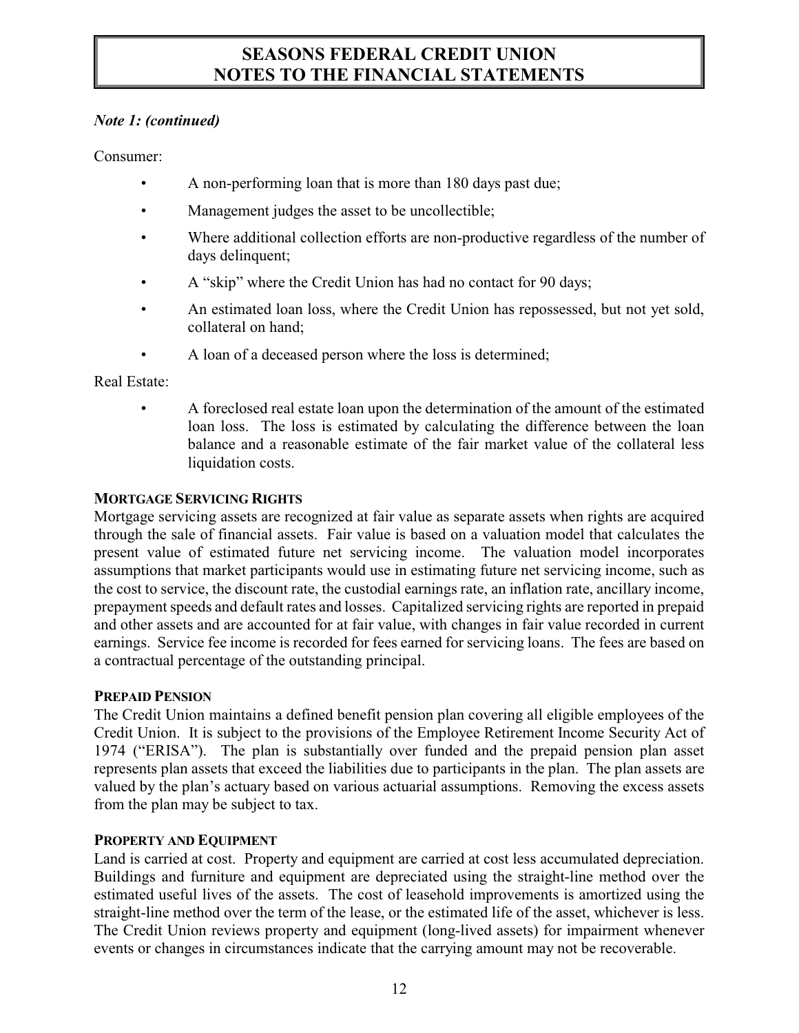#### *Note 1: (continued)*

Consumer:

- A non-performing loan that is more than 180 days past due;
- Management judges the asset to be uncollectible;
- Where additional collection efforts are non-productive regardless of the number of days delinquent;
- A "skip" where the Credit Union has had no contact for 90 days;
- An estimated loan loss, where the Credit Union has repossessed, but not yet sold, collateral on hand;
- A loan of a deceased person where the loss is determined;

Real Estate:

• A foreclosed real estate loan upon the determination of the amount of the estimated loan loss. The loss is estimated by calculating the difference between the loan balance and a reasonable estimate of the fair market value of the collateral less liquidation costs.

#### **MORTGAGE SERVICING RIGHTS**

Mortgage servicing assets are recognized at fair value as separate assets when rights are acquired through the sale of financial assets. Fair value is based on a valuation model that calculates the present value of estimated future net servicing income. The valuation model incorporates assumptions that market participants would use in estimating future net servicing income, such as the cost to service, the discount rate, the custodial earnings rate, an inflation rate, ancillary income, prepayment speeds and default rates and losses. Capitalized servicing rights are reported in prepaid and other assets and are accounted for at fair value, with changes in fair value recorded in current earnings. Service fee income is recorded for fees earned for servicing loans. The fees are based on a contractual percentage of the outstanding principal.

#### **PREPAID PENSION**

The Credit Union maintains a defined benefit pension plan covering all eligible employees of the Credit Union. It is subject to the provisions of the Employee Retirement Income Security Act of 1974 ("ERISA"). The plan is substantially over funded and the prepaid pension plan asset represents plan assets that exceed the liabilities due to participants in the plan. The plan assets are valued by the plan's actuary based on various actuarial assumptions. Removing the excess assets from the plan may be subject to tax.

#### **PROPERTY AND EQUIPMENT**

Land is carried at cost. Property and equipment are carried at cost less accumulated depreciation. Buildings and furniture and equipment are depreciated using the straight-line method over the estimated useful lives of the assets. The cost of leasehold improvements is amortized using the straight-line method over the term of the lease, or the estimated life of the asset, whichever is less. The Credit Union reviews property and equipment (long-lived assets) for impairment whenever events or changes in circumstances indicate that the carrying amount may not be recoverable.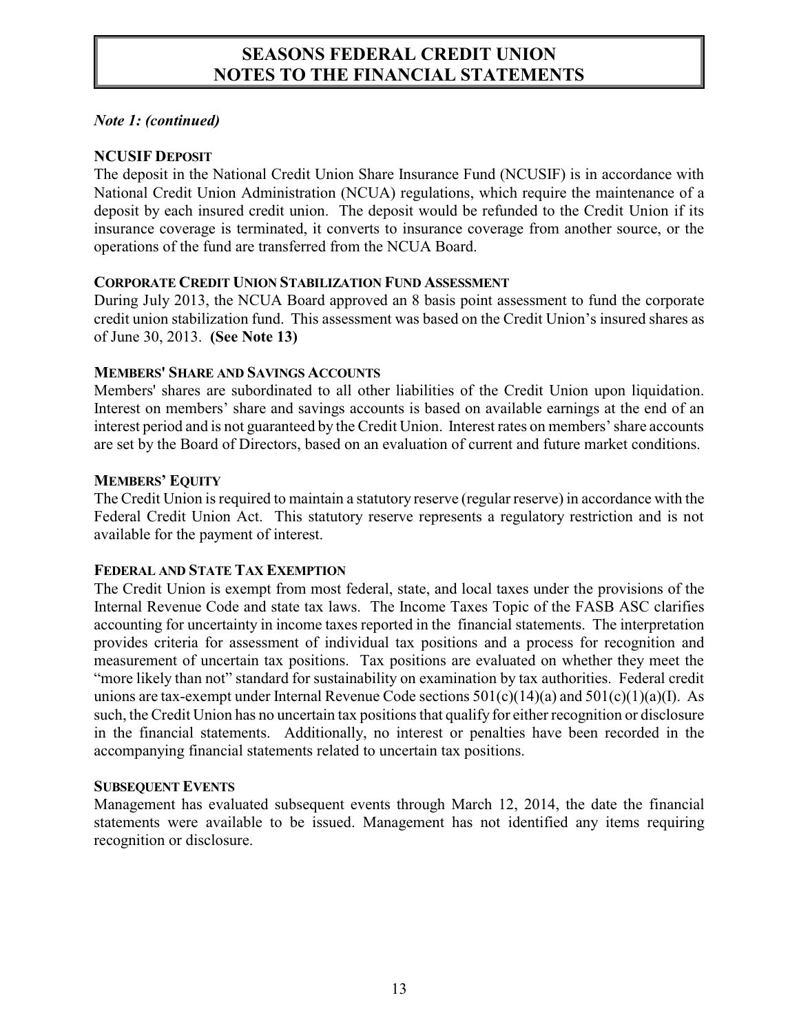#### *Note 1: (continued)*

#### **NCUSIF DEPOSIT**

The deposit in the National Credit Union Share Insurance Fund (NCUSIF) is in accordance with National Credit Union Administration (NCUA) regulations, which require the maintenance of a deposit by each insured credit union. The deposit would be refunded to the Credit Union if its insurance coverage is terminated, it converts to insurance coverage from another source, or the operations of the fund are transferred from the NCUA Board.

#### **CORPORATE CREDIT UNION STABILIZATION FUND ASSESSMENT**

During July 2013, the NCUA Board approved an 8 basis point assessment to fund the corporate credit union stabilization fund. This assessment was based on the Credit Union's insured shares as of June 30, 2013. **(See Note 13)**

#### **MEMBERS' SHARE AND SAVINGS ACCOUNTS**

Members' shares are subordinated to all other liabilities of the Credit Union upon liquidation. Interest on members' share and savings accounts is based on available earnings at the end of an interest period and is not guaranteed by the Credit Union. Interest rates on members' share accounts are set by the Board of Directors, based on an evaluation of current and future market conditions.

#### **MEMBERS' EQUITY**

The Credit Union is required to maintain a statutory reserve (regular reserve) in accordance with the Federal Credit Union Act. This statutory reserve represents a regulatory restriction and is not available for the payment of interest.

#### **FEDERAL AND STATE TAX EXEMPTION**

The Credit Union is exempt from most federal, state, and local taxes under the provisions of the Internal Revenue Code and state tax laws. The Income Taxes Topic of the FASB ASC clarifies accounting for uncertainty in income taxes reported in the financial statements. The interpretation provides criteria for assessment of individual tax positions and a process for recognition and measurement of uncertain tax positions. Tax positions are evaluated on whether they meet the "more likely than not" standard for sustainability on examination by tax authorities. Federal credit unions are tax-exempt under Internal Revenue Code sections  $501(c)(14)(a)$  and  $501(c)(1)(a)(I)$ . As such, the Credit Union has no uncertain tax positions that qualify for either recognition or disclosure in the financial statements. Additionally, no interest or penalties have been recorded in the accompanying financial statements related to uncertain tax positions.

#### **SUBSEQUENT EVENTS**

Management has evaluated subsequent events through March 12, 2014, the date the financial statements were available to be issued. Management has not identified any items requiring recognition or disclosure.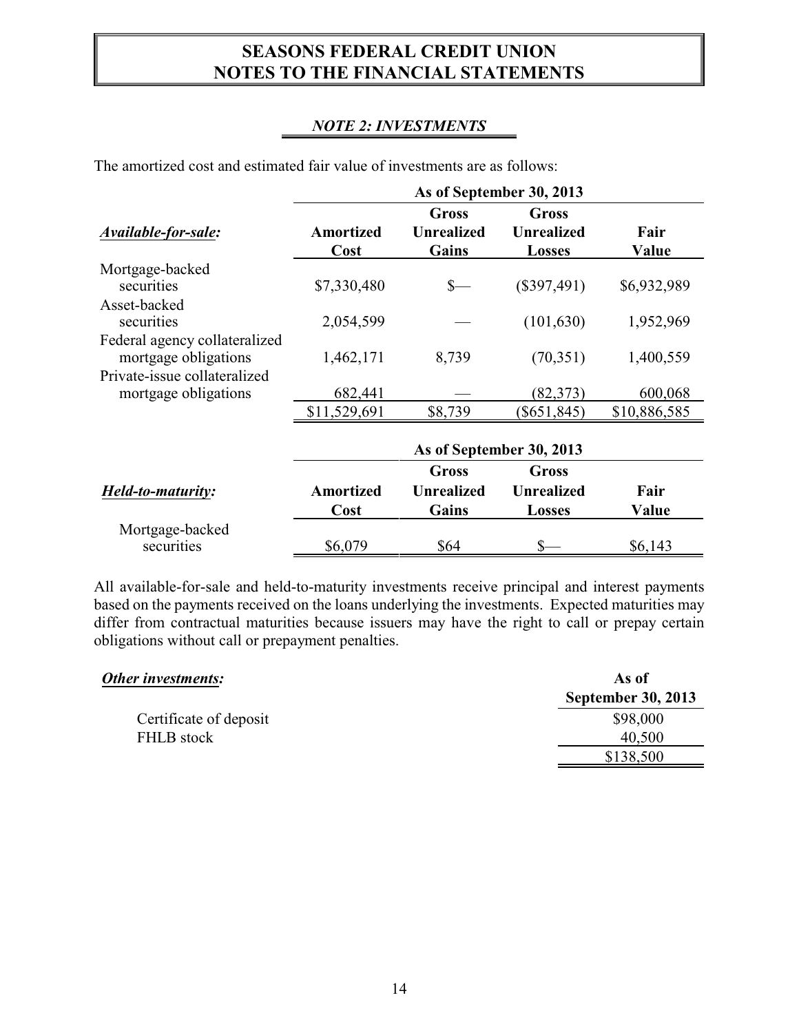### *NOTE 2: INVESTMENTS*

|                                                       | As of September 30, 2013 |                                     |                                             |               |
|-------------------------------------------------------|--------------------------|-------------------------------------|---------------------------------------------|---------------|
| Available-for-sale:                                   | <b>Amortized</b><br>Cost | Gross<br><b>Unrealized</b><br>Gains | Gross<br><b>Unrealized</b><br><b>Losses</b> | Fair<br>Value |
| Mortgage-backed                                       |                          |                                     |                                             |               |
| securities                                            | \$7,330,480              |                                     | $(\$397,491)$                               | \$6,932,989   |
| Asset-backed<br>securities                            | 2,054,599                |                                     | (101, 630)                                  | 1,952,969     |
| Federal agency collateralized<br>mortgage obligations | 1,462,171                | 8,739                               | (70, 351)                                   | 1,400,559     |
| Private-issue collateralized<br>mortgage obligations  | 682,441                  |                                     | (82, 373)                                   | 600,068       |
|                                                       | \$11,529,691             | \$8,739                             | $(\$651,845)$                               | \$10,886,585  |
|                                                       |                          |                                     | As of September 30, 2013                    |               |
|                                                       |                          | <b>Gross</b>                        | <b>Gross</b>                                |               |
| Held-to-maturity:                                     | <b>Amortized</b>         | <b>Unrealized</b>                   | <b>Unrealized</b>                           | Fair          |
|                                                       | Cost                     | Gains                               | <b>Losses</b>                               | Value         |
| Mortgage-backed                                       |                          |                                     |                                             |               |
| securities                                            | \$6,079                  | \$64                                |                                             | \$6,143       |

The amortized cost and estimated fair value of investments are as follows:

All available-for-sale and held-to-maturity investments receive principal and interest payments based on the payments received on the loans underlying the investments. Expected maturities may differ from contractual maturities because issuers may have the right to call or prepay certain obligations without call or prepayment penalties.

| Other investments:     | As of                     |
|------------------------|---------------------------|
|                        | <b>September 30, 2013</b> |
| Certificate of deposit | \$98,000                  |
| FHLB stock             | 40,500                    |
|                        | \$138,500                 |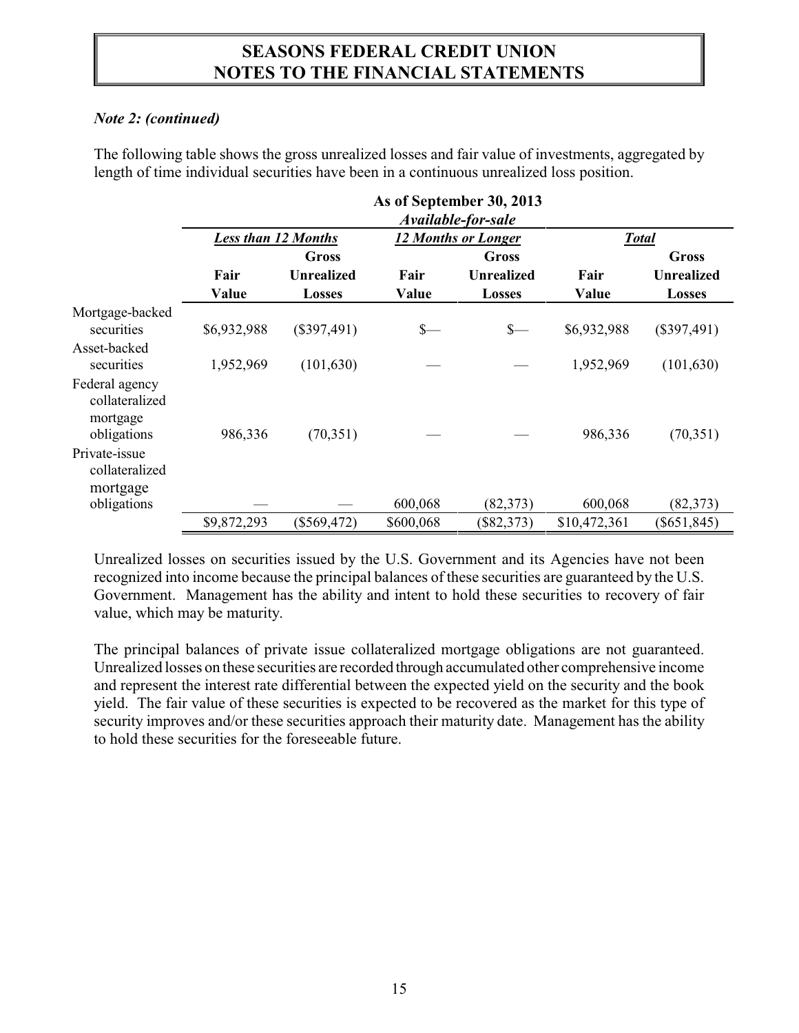#### *Note 2: (continued)*

The following table shows the gross unrealized losses and fair value of investments, aggregated by length of time individual securities have been in a continuous unrealized loss position.

|                                                             | As of September 30, 2013<br>Available-for-sale |                   |                 |                            |              |                   |  |
|-------------------------------------------------------------|------------------------------------------------|-------------------|-----------------|----------------------------|--------------|-------------------|--|
|                                                             | <b>Less than 12 Months</b>                     |                   |                 | <b>12 Months or Longer</b> |              | <b>Total</b>      |  |
|                                                             |                                                | Gross             |                 | Gross                      |              | <b>Gross</b>      |  |
|                                                             | Fair                                           | <b>Unrealized</b> | Fair            | <b>Unrealized</b>          | Fair         | <b>Unrealized</b> |  |
|                                                             | Value                                          | <b>Losses</b>     | Value           | <b>Losses</b>              | Value        | <b>Losses</b>     |  |
| Mortgage-backed<br>securities                               | \$6,932,988                                    | $(\$397,491)$     | $\frac{\ }{\ }$ | $S-$                       | \$6,932,988  | $(\$397,491)$     |  |
| Asset-backed<br>securities                                  | 1,952,969                                      | (101, 630)        |                 |                            | 1,952,969    | (101, 630)        |  |
| Federal agency<br>collateralized<br>mortgage<br>obligations | 986,336                                        | (70, 351)         |                 |                            | 986,336      | (70, 351)         |  |
| Private-issue<br>collateralized<br>mortgage                 |                                                |                   |                 |                            |              |                   |  |
| obligations                                                 |                                                |                   | 600,068         | (82, 373)                  | 600,068      | (82, 373)         |  |
|                                                             | \$9,872,293                                    | $(\$569,472)$     | \$600,068       | $(\$82,373)$               | \$10,472,361 | $(\$651,845)$     |  |

Unrealized losses on securities issued by the U.S. Government and its Agencies have not been recognized into income because the principal balances of these securities are guaranteed by the U.S. Government. Management has the ability and intent to hold these securities to recovery of fair value, which may be maturity.

The principal balances of private issue collateralized mortgage obligations are not guaranteed. Unrealized losses on these securities are recorded through accumulated other comprehensive income and represent the interest rate differential between the expected yield on the security and the book yield. The fair value of these securities is expected to be recovered as the market for this type of security improves and/or these securities approach their maturity date. Management has the ability to hold these securities for the foreseeable future.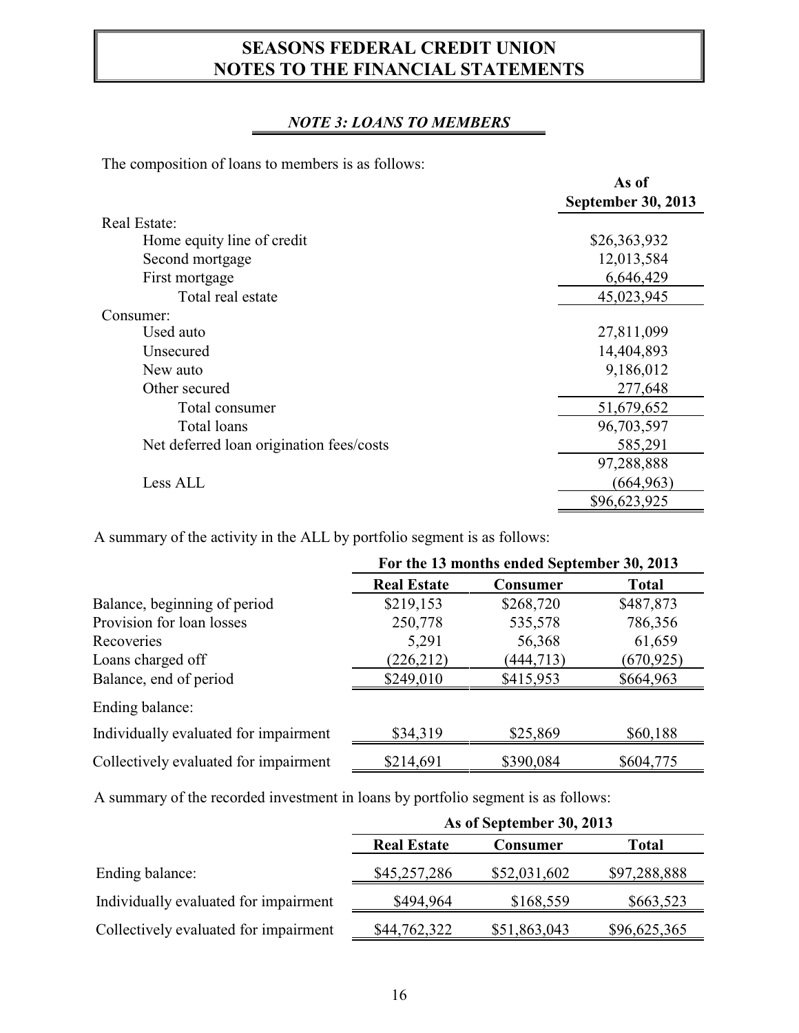### *NOTE 3: LOANS TO MEMBERS*

The composition of loans to members is as follows:

|                                          | As of                     |
|------------------------------------------|---------------------------|
|                                          | <b>September 30, 2013</b> |
| Real Estate:                             |                           |
| Home equity line of credit               | \$26,363,932              |
| Second mortgage                          | 12,013,584                |
| First mortgage                           | 6,646,429                 |
| Total real estate                        | 45,023,945                |
| Consumer:                                |                           |
| Used auto                                | 27,811,099                |
| Unsecured                                | 14,404,893                |
| New auto                                 | 9,186,012                 |
| Other secured                            | 277,648                   |
| Total consumer                           | 51,679,652                |
| Total loans                              | 96,703,597                |
| Net deferred loan origination fees/costs | 585,291                   |
|                                          | 97,288,888                |
| Less ALL                                 | (664, 963)                |
|                                          | \$96,623,925              |

A summary of the activity in the ALL by portfolio segment is as follows:

|                                       | For the 13 months ended September 30, 2013 |            |              |
|---------------------------------------|--------------------------------------------|------------|--------------|
|                                       | <b>Real Estate</b>                         | Consumer   | <b>Total</b> |
| Balance, beginning of period          | \$219,153                                  | \$268,720  | \$487,873    |
| Provision for loan losses             | 250,778                                    | 535,578    | 786,356      |
| Recoveries                            | 5,291                                      | 56,368     | 61,659       |
| Loans charged off                     | (226, 212)                                 | (444, 713) | (670, 925)   |
| Balance, end of period                | \$249,010                                  | \$415,953  | \$664,963    |
| Ending balance:                       |                                            |            |              |
| Individually evaluated for impairment | \$34,319                                   | \$25,869   | \$60,188     |
| Collectively evaluated for impairment | \$214,691                                  | \$390,084  | \$604,775    |

A summary of the recorded investment in loans by portfolio segment is as follows:

|                                       | As of September 30, 2013 |                 |              |  |
|---------------------------------------|--------------------------|-----------------|--------------|--|
|                                       | <b>Real Estate</b>       | <b>Consumer</b> | Total        |  |
| Ending balance:                       | \$45,257,286             | \$52,031,602    | \$97,288,888 |  |
| Individually evaluated for impairment | \$494,964                | \$168,559       | \$663,523    |  |
| Collectively evaluated for impairment | \$44,762,322             | \$51,863,043    | \$96,625,365 |  |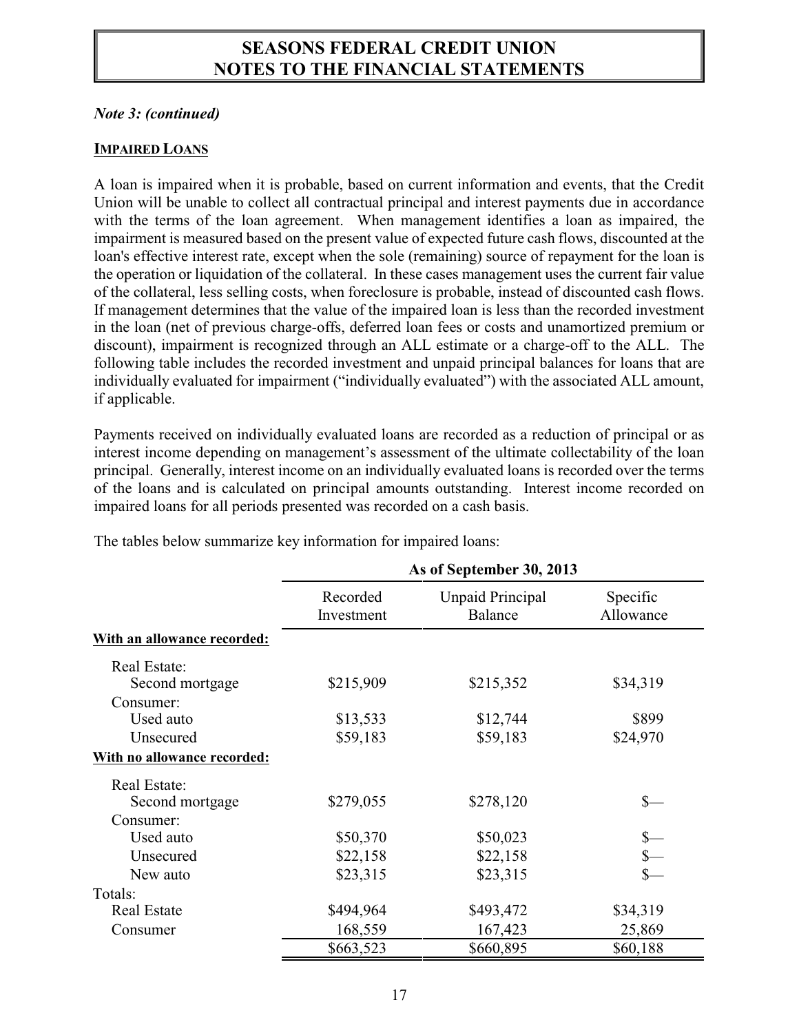#### *Note 3: (continued)*

#### **IMPAIRED LOANS**

A loan is impaired when it is probable, based on current information and events, that the Credit Union will be unable to collect all contractual principal and interest payments due in accordance with the terms of the loan agreement. When management identifies a loan as impaired, the impairment is measured based on the present value of expected future cash flows, discounted at the loan's effective interest rate, except when the sole (remaining) source of repayment for the loan is the operation or liquidation of the collateral. In these cases management uses the current fair value of the collateral, less selling costs, when foreclosure is probable, instead of discounted cash flows. If management determines that the value of the impaired loan is less than the recorded investment in the loan (net of previous charge-offs, deferred loan fees or costs and unamortized premium or discount), impairment is recognized through an ALL estimate or a charge-off to the ALL. The following table includes the recorded investment and unpaid principal balances for loans that are individually evaluated for impairment ("individually evaluated") with the associated ALL amount, if applicable.

Payments received on individually evaluated loans are recorded as a reduction of principal or as interest income depending on management's assessment of the ultimate collectability of the loan principal. Generally, interest income on an individually evaluated loans is recorded over the terms of the loans and is calculated on principal amounts outstanding. Interest income recorded on impaired loans for all periods presented was recorded on a cash basis.

|                             | As of September 30, 2013 |                             |                       |  |
|-----------------------------|--------------------------|-----------------------------|-----------------------|--|
|                             | Recorded<br>Investment   | Unpaid Principal<br>Balance | Specific<br>Allowance |  |
| With an allowance recorded: |                          |                             |                       |  |
| Real Estate:                |                          |                             |                       |  |
| Second mortgage             | \$215,909                | \$215,352                   | \$34,319              |  |
| Consumer:                   |                          |                             |                       |  |
| Used auto                   | \$13,533                 | \$12,744                    | \$899                 |  |
| Unsecured                   | \$59,183                 | \$59,183                    | \$24,970              |  |
| With no allowance recorded: |                          |                             |                       |  |
| Real Estate:                |                          |                             |                       |  |
| Second mortgage             | \$279,055                | \$278,120                   | \$—                   |  |
| Consumer:                   |                          |                             |                       |  |
| Used auto                   | \$50,370                 | \$50,023                    |                       |  |
| Unsecured                   | \$22,158                 | \$22,158                    |                       |  |
| New auto                    | \$23,315                 | \$23,315                    |                       |  |
| Totals:                     |                          |                             |                       |  |
| <b>Real Estate</b>          | \$494,964                | \$493,472                   | \$34,319              |  |
| Consumer                    | 168,559                  | 167,423                     | 25,869                |  |
|                             | \$663,523                | \$660,895                   | \$60,188              |  |

The tables below summarize key information for impaired loans: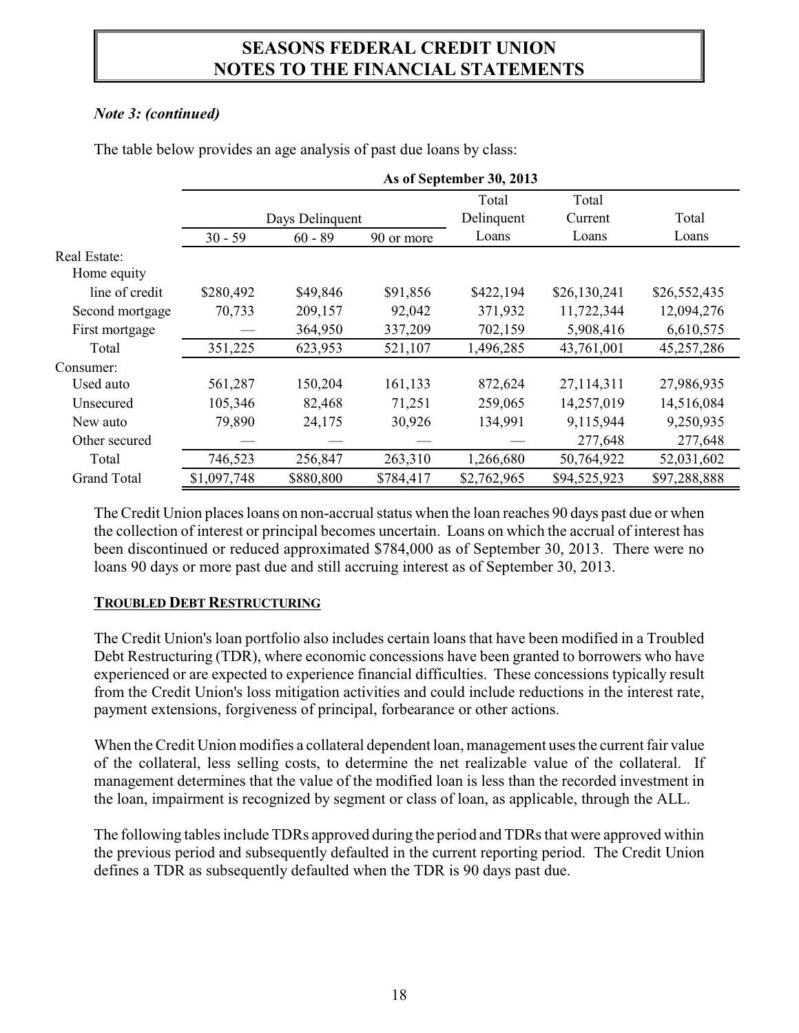### *Note 3: (continued)*

|                    | As of September 30, 2013 |                 |            |             |              |              |
|--------------------|--------------------------|-----------------|------------|-------------|--------------|--------------|
|                    |                          |                 |            | Total       | Total        |              |
|                    |                          | Days Delinquent |            | Delinquent  | Current      | Total        |
|                    | $30 - 59$                | $60 - 89$       | 90 or more | Loans       | Loans        | Loans        |
| Real Estate:       |                          |                 |            |             |              |              |
| Home equity        |                          |                 |            |             |              |              |
| line of credit     | \$280,492                | \$49,846        | \$91,856   | \$422,194   | \$26,130,241 | \$26,552,435 |
| Second mortgage    | 70,733                   | 209,157         | 92,042     | 371,932     | 11,722,344   | 12,094,276   |
| First mortgage     |                          | 364,950         | 337,209    | 702,159     | 5,908,416    | 6,610,575    |
| Total              | 351,225                  | 623,953         | 521,107    | 1,496,285   | 43,761,001   | 45,257,286   |
| Consumer:          |                          |                 |            |             |              |              |
| Used auto          | 561,287                  | 150,204         | 161,133    | 872,624     | 27,114,311   | 27,986,935   |
| Unsecured          | 105,346                  | 82,468          | 71,251     | 259,065     | 14,257,019   | 14,516,084   |
| New auto           | 79,890                   | 24,175          | 30,926     | 134,991     | 9,115,944    | 9,250,935    |
| Other secured      |                          |                 |            |             | 277,648      | 277,648      |
| Total              | 746,523                  | 256,847         | 263,310    | 1,266,680   | 50,764,922   | 52,031,602   |
| <b>Grand Total</b> | \$1,097,748              | \$880,800       | \$784,417  | \$2,762,965 | \$94,525,923 | \$97,288,888 |

The table below provides an age analysis of past due loans by class:

The Credit Union places loans on non-accrual status when the loan reaches 90 days past due or when the collection of interest or principal becomes uncertain. Loans on which the accrual of interest has been discontinued or reduced approximated \$784,000 as of September 30, 2013. There were no loans 90 days or more past due and still accruing interest as of September 30, 2013.

### **TROUBLED DEBT RESTRUCTURING**

The Credit Union's loan portfolio also includes certain loans that have been modified in a Troubled Debt Restructuring (TDR), where economic concessions have been granted to borrowers who have experienced or are expected to experience financial difficulties. These concessions typically result from the Credit Union's loss mitigation activities and could include reductions in the interest rate, payment extensions, forgiveness of principal, forbearance or other actions.

When the Credit Union modifies a collateral dependent loan, management uses the current fair value of the collateral, less selling costs, to determine the net realizable value of the collateral. If management determines that the value of the modified loan is less than the recorded investment in the loan, impairment is recognized by segment or class of loan, as applicable, through the ALL.

The following tables include TDRs approved during the period and TDRs that were approved within the previous period and subsequently defaulted in the current reporting period. The Credit Union defines a TDR as subsequently defaulted when the TDR is 90 days past due.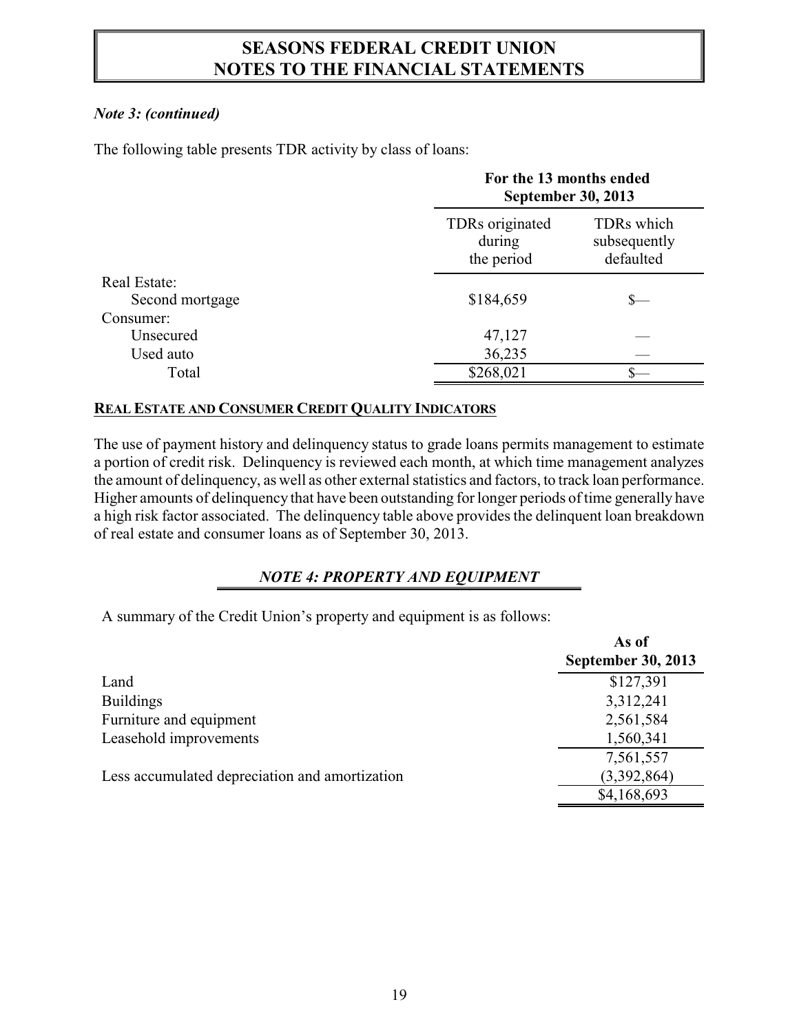### *Note 3: (continued)*

The following table presents TDR activity by class of loans:

|                 |                                         | For the 13 months ended<br><b>September 30, 2013</b> |  |  |
|-----------------|-----------------------------------------|------------------------------------------------------|--|--|
|                 | TDRs originated<br>during<br>the period | TDRs which<br>subsequently<br>defaulted              |  |  |
| Real Estate:    |                                         |                                                      |  |  |
| Second mortgage | \$184,659                               |                                                      |  |  |
| Consumer:       |                                         |                                                      |  |  |
| Unsecured       | 47,127                                  |                                                      |  |  |
| Used auto       | 36,235                                  |                                                      |  |  |
| Total           | \$268,021                               |                                                      |  |  |

#### **REAL ESTATE AND CONSUMER CREDIT QUALITY INDICATORS**

The use of payment history and delinquency status to grade loans permits management to estimate a portion of credit risk. Delinquency is reviewed each month, at which time management analyzes the amount of delinquency, as well as other external statistics and factors, to track loan performance. Higher amounts of delinquency that have been outstanding for longer periods of time generally have a high risk factor associated. The delinquency table above provides the delinquent loan breakdown of real estate and consumer loans as of September 30, 2013.

### *NOTE 4: PROPERTY AND EQUIPMENT*

A summary of the Credit Union's property and equipment is as follows:

|                                                | As of                     |
|------------------------------------------------|---------------------------|
|                                                | <b>September 30, 2013</b> |
| Land                                           | \$127,391                 |
| <b>Buildings</b>                               | 3,312,241                 |
| Furniture and equipment                        | 2,561,584                 |
| Leasehold improvements                         | 1,560,341                 |
|                                                | 7,561,557                 |
| Less accumulated depreciation and amortization | (3,392,864)               |
|                                                | \$4,168,693               |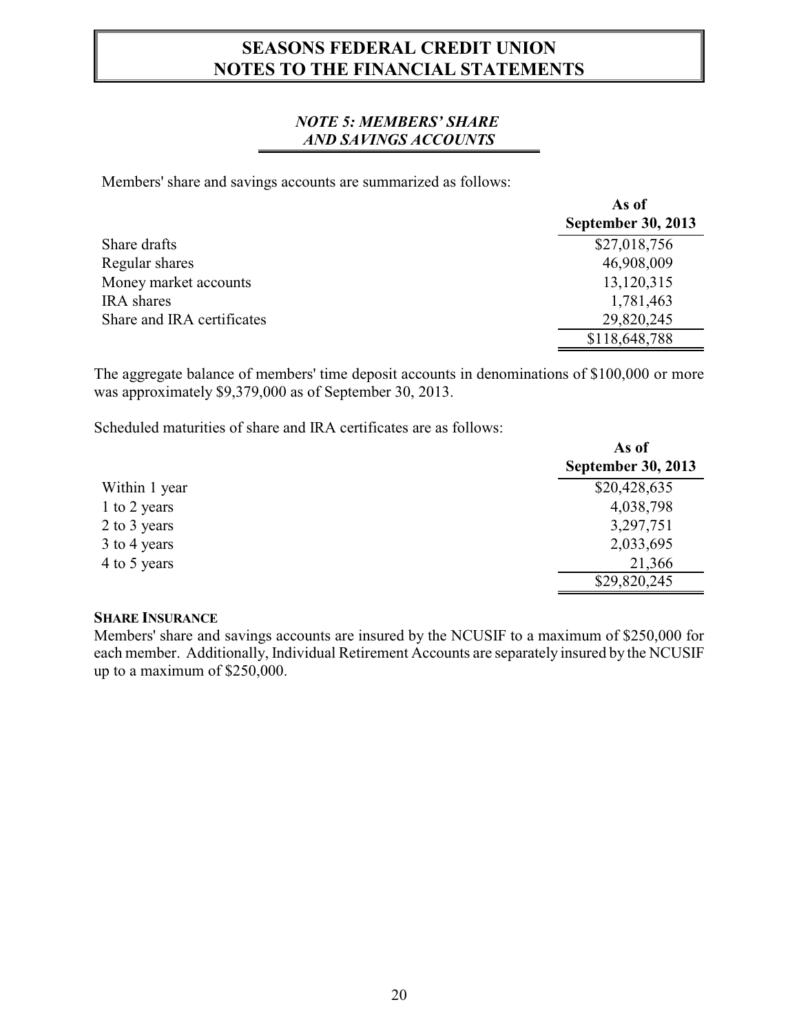#### *NOTE 5: MEMBERS' SHARE AND SAVINGS ACCOUNTS*

Members' share and savings accounts are summarized as follows:

|                            | As of                     |
|----------------------------|---------------------------|
|                            | <b>September 30, 2013</b> |
| Share drafts               | \$27,018,756              |
| Regular shares             | 46,908,009                |
| Money market accounts      | 13,120,315                |
| <b>IRA</b> shares          | 1,781,463                 |
| Share and IRA certificates | 29,820,245                |
|                            | \$118,648,788             |

The aggregate balance of members' time deposit accounts in denominations of \$100,000 or more was approximately \$9,379,000 as of September 30, 2013.

Scheduled maturities of share and IRA certificates are as follows:

|               | As of                     |
|---------------|---------------------------|
|               | <b>September 30, 2013</b> |
| Within 1 year | \$20,428,635              |
| 1 to 2 years  | 4,038,798                 |
| 2 to 3 years  | 3,297,751                 |
| 3 to 4 years  | 2,033,695                 |
| 4 to 5 years  | 21,366                    |
|               | \$29,820,245              |

### **SHARE INSURANCE**

Members' share and savings accounts are insured by the NCUSIF to a maximum of \$250,000 for each member. Additionally, Individual Retirement Accounts are separately insured by the NCUSIF up to a maximum of \$250,000.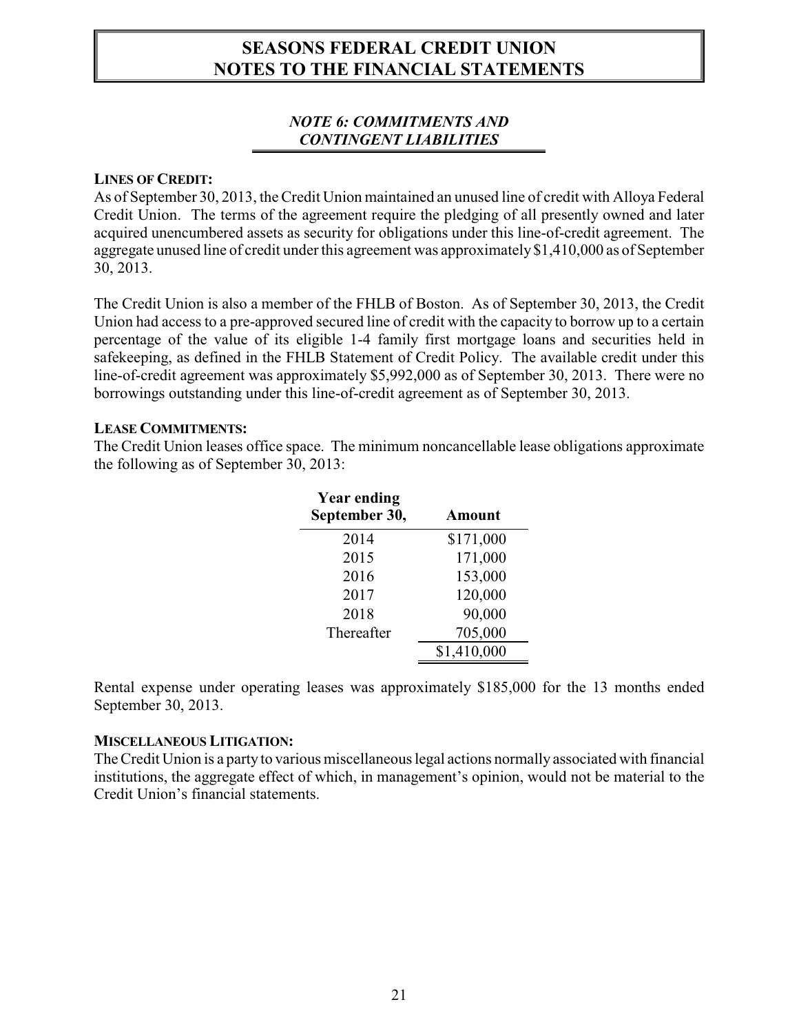#### *NOTE 6: COMMITMENTS AND CONTINGENT LIABILITIES*

#### **LINES OF CREDIT:**

As of September 30, 2013, the Credit Union maintained an unused line of credit with Alloya Federal Credit Union. The terms of the agreement require the pledging of all presently owned and later acquired unencumbered assets as security for obligations under this line-of-credit agreement. The aggregate unused line of credit under this agreement was approximately \$1,410,000 as of September 30, 2013.

The Credit Union is also a member of the FHLB of Boston. As of September 30, 2013, the Credit Union had access to a pre-approved secured line of credit with the capacity to borrow up to a certain percentage of the value of its eligible 1-4 family first mortgage loans and securities held in safekeeping, as defined in the FHLB Statement of Credit Policy. The available credit under this line-of-credit agreement was approximately \$5,992,000 as of September 30, 2013. There were no borrowings outstanding under this line-of-credit agreement as of September 30, 2013.

#### **LEASE COMMITMENTS:**

The Credit Union leases office space. The minimum noncancellable lease obligations approximate the following as of September 30, 2013:

| Year ending<br>September 30, | <b>Amount</b> |
|------------------------------|---------------|
| 2014                         | \$171,000     |
| 2015                         | 171,000       |
| 2016                         | 153,000       |
| 2017                         | 120,000       |
| 2018                         | 90,000        |
| Thereafter                   | 705,000       |
|                              | \$1,410,000   |

Rental expense under operating leases was approximately \$185,000 for the 13 months ended September 30, 2013.

#### **MISCELLANEOUS LITIGATION:**

The Credit Union is a party to various miscellaneous legal actions normally associated with financial institutions, the aggregate effect of which, in management's opinion, would not be material to the Credit Union's financial statements.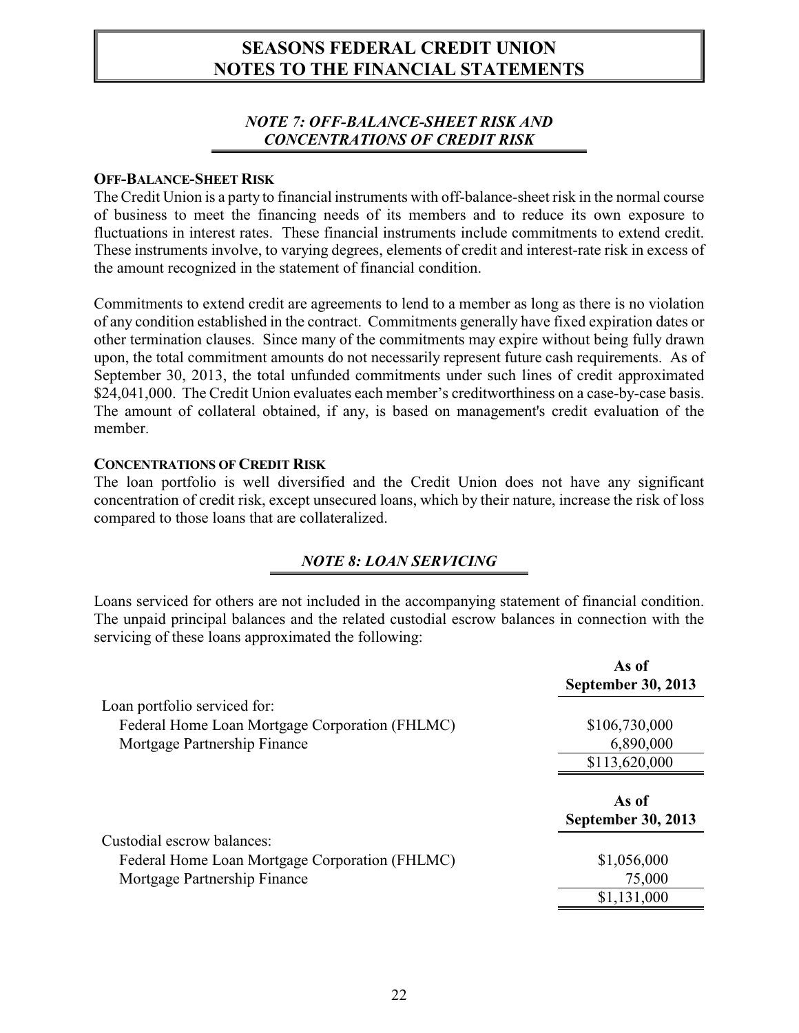#### *NOTE 7: OFF-BALANCE-SHEET RISK AND CONCENTRATIONS OF CREDIT RISK*

#### **OFF-BALANCE-SHEET RISK**

The Credit Union is a party to financial instruments with off-balance-sheet risk in the normal course of business to meet the financing needs of its members and to reduce its own exposure to fluctuations in interest rates. These financial instruments include commitments to extend credit. These instruments involve, to varying degrees, elements of credit and interest-rate risk in excess of the amount recognized in the statement of financial condition.

Commitments to extend credit are agreements to lend to a member as long as there is no violation of any condition established in the contract. Commitments generally have fixed expiration dates or other termination clauses. Since many of the commitments may expire without being fully drawn upon, the total commitment amounts do not necessarily represent future cash requirements. As of September 30, 2013, the total unfunded commitments under such lines of credit approximated \$24,041,000. The Credit Union evaluates each member's creditworthiness on a case-by-case basis. The amount of collateral obtained, if any, is based on management's credit evaluation of the member.

#### **CONCENTRATIONS OF CREDIT RISK**

The loan portfolio is well diversified and the Credit Union does not have any significant concentration of credit risk, except unsecured loans, which by their nature, increase the risk of loss compared to those loans that are collateralized.

### *NOTE 8: LOAN SERVICING*

Loans serviced for others are not included in the accompanying statement of financial condition. The unpaid principal balances and the related custodial escrow balances in connection with the servicing of these loans approximated the following:

|                                                | As of<br><b>September 30, 2013</b> |
|------------------------------------------------|------------------------------------|
| Loan portfolio serviced for:                   |                                    |
| Federal Home Loan Mortgage Corporation (FHLMC) | \$106,730,000                      |
| Mortgage Partnership Finance                   | 6,890,000                          |
|                                                | \$113,620,000                      |
|                                                | As of<br><b>September 30, 2013</b> |
| Custodial escrow balances:                     |                                    |
| Federal Home Loan Mortgage Corporation (FHLMC) | \$1,056,000                        |
| Mortgage Partnership Finance                   | 75,000                             |
|                                                | \$1,131,000                        |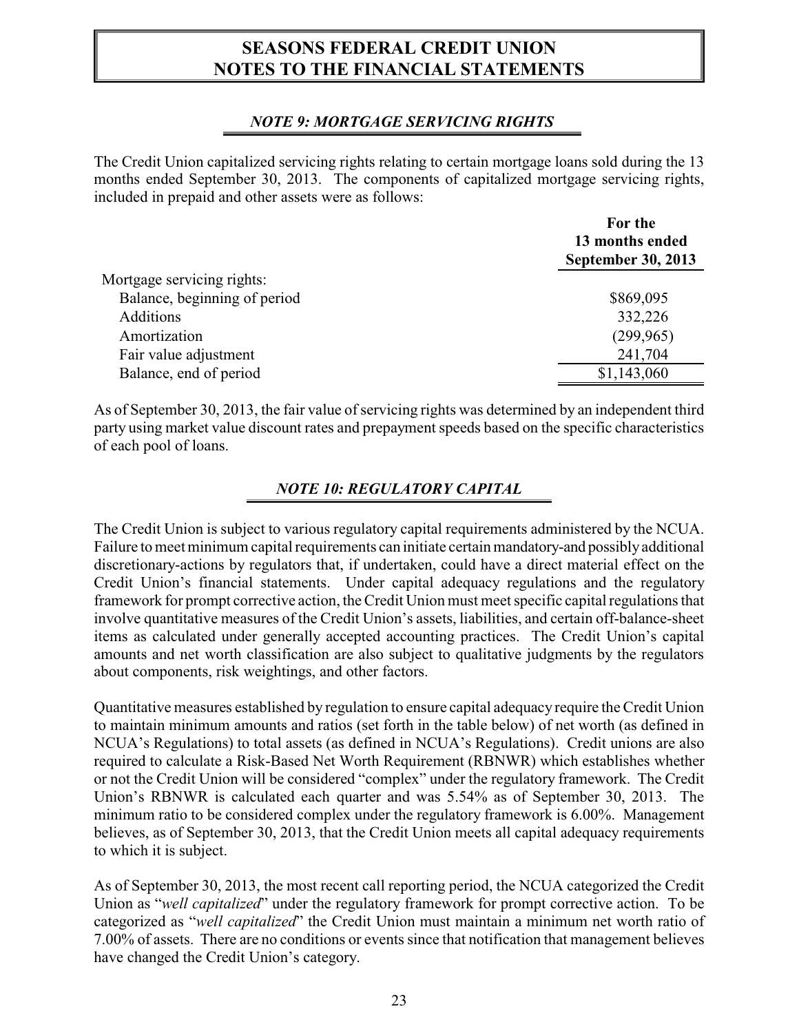### *NOTE 9: MORTGAGE SERVICING RIGHTS*

The Credit Union capitalized servicing rights relating to certain mortgage loans sold during the 13 months ended September 30, 2013. The components of capitalized mortgage servicing rights, included in prepaid and other assets were as follows:

|                              | For the<br>13 months ended<br><b>September 30, 2013</b> |
|------------------------------|---------------------------------------------------------|
| Mortgage servicing rights:   |                                                         |
| Balance, beginning of period | \$869,095                                               |
| <b>Additions</b>             | 332,226                                                 |
| Amortization                 | (299,965)                                               |
| Fair value adjustment        | 241,704                                                 |
| Balance, end of period       | \$1,143,060                                             |

As of September 30, 2013, the fair value of servicing rights was determined by an independent third party using market value discount rates and prepayment speeds based on the specific characteristics of each pool of loans.

### *NOTE 10: REGULATORY CAPITAL*

The Credit Union is subject to various regulatory capital requirements administered by the NCUA. Failure to meet minimum capital requirements can initiate certain mandatory-and possiblyadditional discretionary-actions by regulators that, if undertaken, could have a direct material effect on the Credit Union's financial statements. Under capital adequacy regulations and the regulatory framework for prompt corrective action, the Credit Union must meet specific capital regulations that involve quantitative measures of the Credit Union's assets, liabilities, and certain off-balance-sheet items as calculated under generally accepted accounting practices. The Credit Union's capital amounts and net worth classification are also subject to qualitative judgments by the regulators about components, risk weightings, and other factors.

Quantitative measures established by regulation to ensure capital adequacy require the Credit Union to maintain minimum amounts and ratios (set forth in the table below) of net worth (as defined in NCUA's Regulations) to total assets (as defined in NCUA's Regulations). Credit unions are also required to calculate a Risk-Based Net Worth Requirement (RBNWR) which establishes whether or not the Credit Union will be considered "complex" under the regulatory framework. The Credit Union's RBNWR is calculated each quarter and was 5.54% as of September 30, 2013. The minimum ratio to be considered complex under the regulatory framework is 6.00%. Management believes, as of September 30, 2013, that the Credit Union meets all capital adequacy requirements to which it is subject.

As of September 30, 2013, the most recent call reporting period, the NCUA categorized the Credit Union as "*well capitalized*" under the regulatory framework for prompt corrective action. To be categorized as "*well capitalized*" the Credit Union must maintain a minimum net worth ratio of 7.00% of assets. There are no conditions or events since that notification that management believes have changed the Credit Union's category.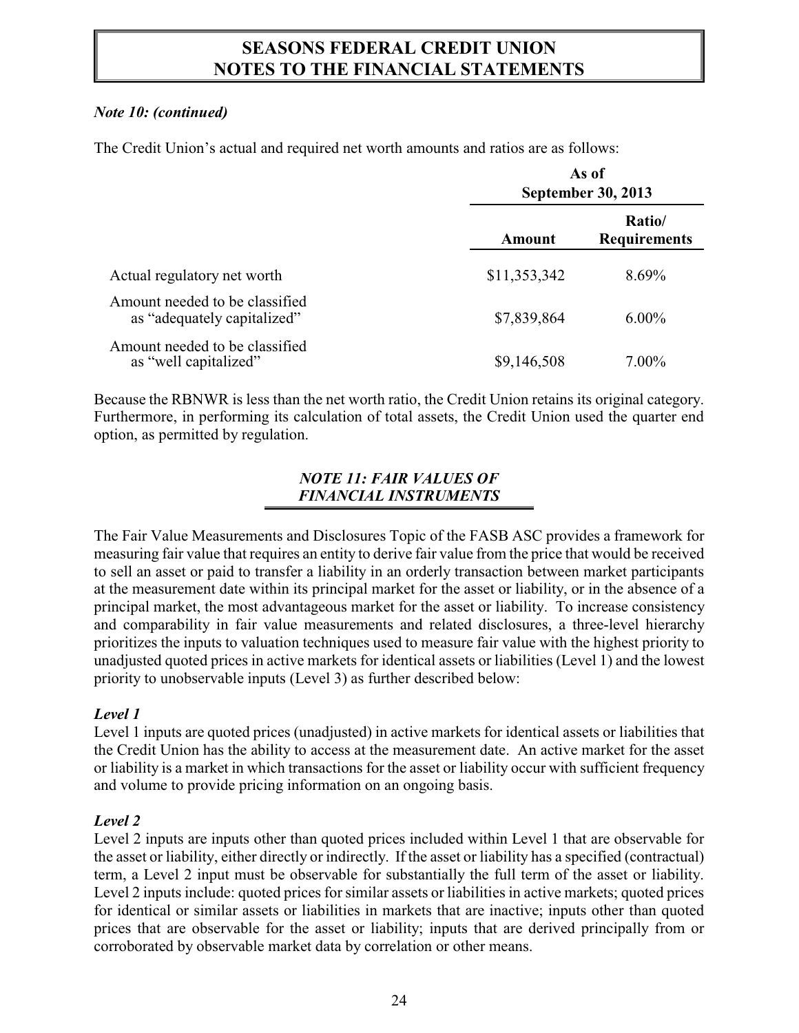### *Note 10: (continued)*

The Credit Union's actual and required net worth amounts and ratios are as follows:

|                                                               | As of<br>September 30, 2013 |                               |  |
|---------------------------------------------------------------|-----------------------------|-------------------------------|--|
|                                                               | Amount                      | Ratio/<br><b>Requirements</b> |  |
| Actual regulatory net worth                                   | \$11,353,342                | 8.69%                         |  |
| Amount needed to be classified<br>as "adequately capitalized" | \$7,839,864                 | $6.00\%$                      |  |
| Amount needed to be classified<br>as "well capitalized"       | \$9,146,508                 | $7.00\%$                      |  |

Because the RBNWR is less than the net worth ratio, the Credit Union retains its original category. Furthermore, in performing its calculation of total assets, the Credit Union used the quarter end option, as permitted by regulation.

### *NOTE 11: FAIR VALUES OF FINANCIAL INSTRUMENTS*

The Fair Value Measurements and Disclosures Topic of the FASB ASC provides a framework for measuring fair value that requires an entity to derive fair value from the price that would be received to sell an asset or paid to transfer a liability in an orderly transaction between market participants at the measurement date within its principal market for the asset or liability, or in the absence of a principal market, the most advantageous market for the asset or liability. To increase consistency and comparability in fair value measurements and related disclosures, a three-level hierarchy prioritizes the inputs to valuation techniques used to measure fair value with the highest priority to unadjusted quoted prices in active markets for identical assets or liabilities (Level 1) and the lowest priority to unobservable inputs (Level 3) as further described below:

### *Level 1*

Level 1 inputs are quoted prices (unadjusted) in active markets for identical assets or liabilities that the Credit Union has the ability to access at the measurement date. An active market for the asset or liability is a market in which transactions for the asset or liability occur with sufficient frequency and volume to provide pricing information on an ongoing basis.

### *Level 2*

Level 2 inputs are inputs other than quoted prices included within Level 1 that are observable for the asset or liability, either directly or indirectly. If the asset or liability has a specified (contractual) term, a Level 2 input must be observable for substantially the full term of the asset or liability. Level 2 inputs include: quoted prices for similar assets or liabilities in active markets; quoted prices for identical or similar assets or liabilities in markets that are inactive; inputs other than quoted prices that are observable for the asset or liability; inputs that are derived principally from or corroborated by observable market data by correlation or other means.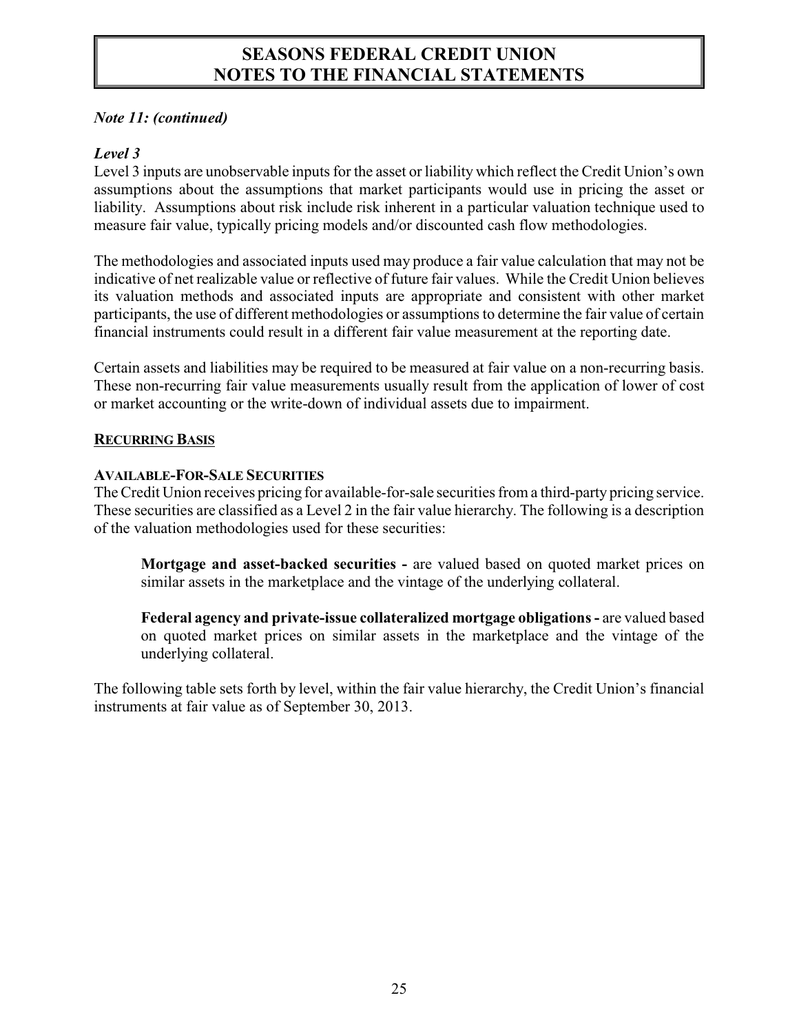#### *Note 11: (continued)*

#### *Level 3*

Level 3 inputs are unobservable inputs for the asset or liability which reflect the Credit Union's own assumptions about the assumptions that market participants would use in pricing the asset or liability. Assumptions about risk include risk inherent in a particular valuation technique used to measure fair value, typically pricing models and/or discounted cash flow methodologies.

The methodologies and associated inputs used may produce a fair value calculation that may not be indicative of net realizable value or reflective of future fair values. While the Credit Union believes its valuation methods and associated inputs are appropriate and consistent with other market participants, the use of different methodologies or assumptions to determine the fair value of certain financial instruments could result in a different fair value measurement at the reporting date.

Certain assets and liabilities may be required to be measured at fair value on a non-recurring basis. These non-recurring fair value measurements usually result from the application of lower of cost or market accounting or the write-down of individual assets due to impairment.

#### **RECURRING BASIS**

#### **AVAILABLE-FOR-SALE SECURITIES**

The Credit Union receives pricing for available-for-sale securities from a third-party pricing service. These securities are classified as a Level 2 in the fair value hierarchy. The following is a description of the valuation methodologies used for these securities:

**Mortgage and asset-backed securities -** are valued based on quoted market prices on similar assets in the marketplace and the vintage of the underlying collateral.

**Federal agency and private-issue collateralized mortgage obligations -** are valued based on quoted market prices on similar assets in the marketplace and the vintage of the underlying collateral.

The following table sets forth by level, within the fair value hierarchy, the Credit Union's financial instruments at fair value as of September 30, 2013.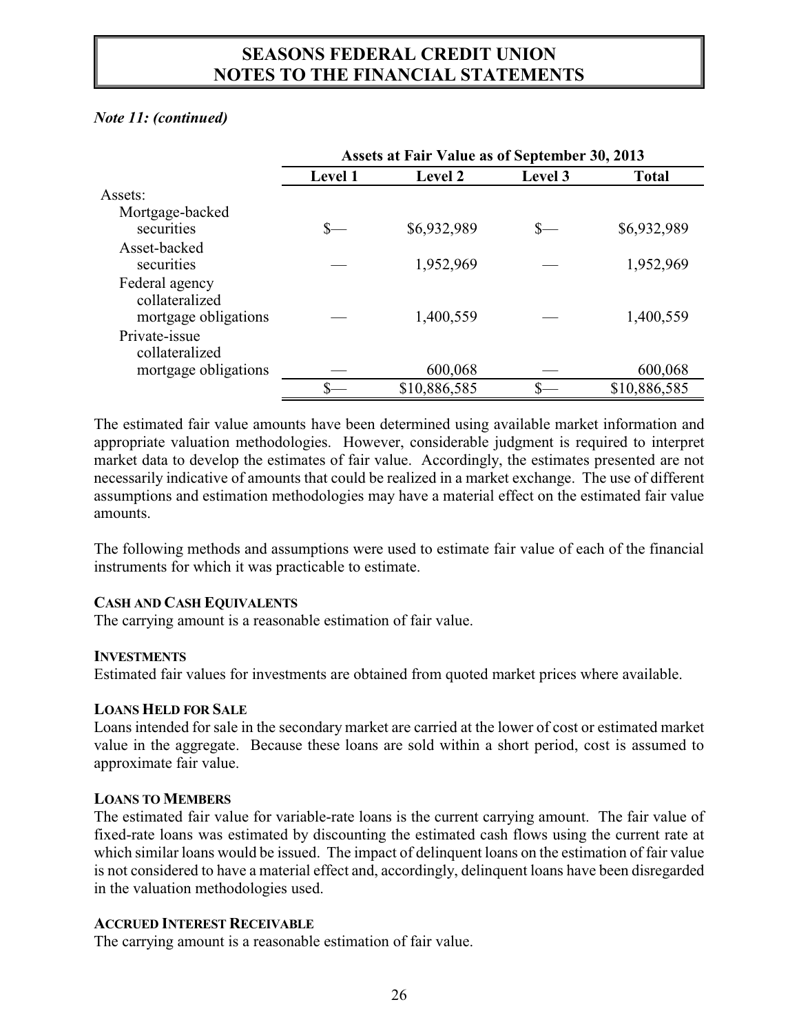#### *Note 11: (continued)*

|                                                          | Assets at Fair Value as of September 30, 2013 |                |         |              |
|----------------------------------------------------------|-----------------------------------------------|----------------|---------|--------------|
|                                                          | <b>Level 1</b>                                | <b>Level 2</b> | Level 3 | Total        |
| Assets:                                                  |                                               |                |         |              |
| Mortgage-backed                                          |                                               |                |         |              |
| securities                                               |                                               | \$6,932,989    | $S-$    | \$6,932,989  |
| Asset-backed<br>securities                               |                                               | 1,952,969      |         | 1,952,969    |
| Federal agency<br>collateralized<br>mortgage obligations |                                               | 1,400,559      |         | 1,400,559    |
| Private-issue<br>collateralized                          |                                               |                |         |              |
| mortgage obligations                                     |                                               | 600,068        |         | 600,068      |
|                                                          |                                               | \$10,886,585   |         | \$10,886,585 |

The estimated fair value amounts have been determined using available market information and appropriate valuation methodologies. However, considerable judgment is required to interpret market data to develop the estimates of fair value. Accordingly, the estimates presented are not necessarily indicative of amounts that could be realized in a market exchange. The use of different assumptions and estimation methodologies may have a material effect on the estimated fair value amounts.

The following methods and assumptions were used to estimate fair value of each of the financial instruments for which it was practicable to estimate.

#### **CASH AND CASH EQUIVALENTS**

The carrying amount is a reasonable estimation of fair value.

#### **INVESTMENTS**

Estimated fair values for investments are obtained from quoted market prices where available.

#### **LOANS HELD FOR SALE**

Loans intended for sale in the secondary market are carried at the lower of cost or estimated market value in the aggregate. Because these loans are sold within a short period, cost is assumed to approximate fair value.

#### **LOANS TO MEMBERS**

The estimated fair value for variable-rate loans is the current carrying amount. The fair value of fixed-rate loans was estimated by discounting the estimated cash flows using the current rate at which similar loans would be issued. The impact of delinquent loans on the estimation of fair value is not considered to have a material effect and, accordingly, delinquent loans have been disregarded in the valuation methodologies used.

#### **ACCRUED INTEREST RECEIVABLE**

The carrying amount is a reasonable estimation of fair value.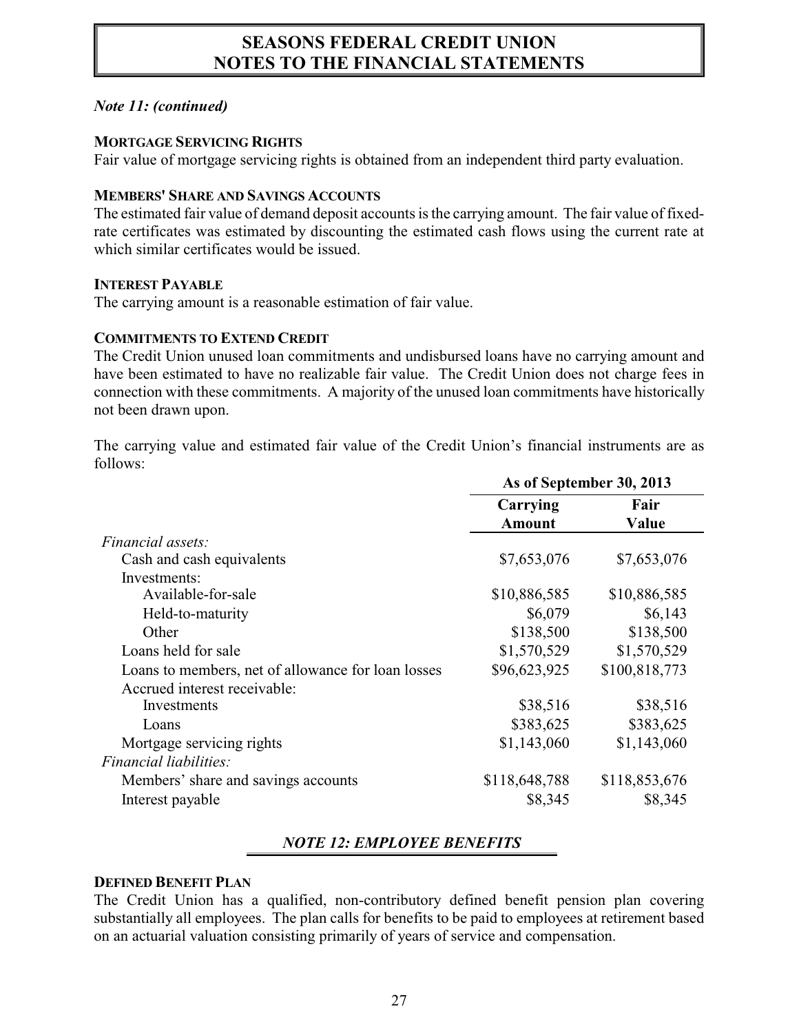#### *Note 11: (continued)*

#### **MORTGAGE SERVICING RIGHTS**

Fair value of mortgage servicing rights is obtained from an independent third party evaluation.

#### **MEMBERS' SHARE AND SAVINGS ACCOUNTS**

The estimated fair value of demand deposit accounts is the carrying amount. The fair value of fixedrate certificates was estimated by discounting the estimated cash flows using the current rate at which similar certificates would be issued.

#### **INTEREST PAYABLE**

The carrying amount is a reasonable estimation of fair value.

### **COMMITMENTS TO EXTEND CREDIT**

The Credit Union unused loan commitments and undisbursed loans have no carrying amount and have been estimated to have no realizable fair value. The Credit Union does not charge fees in connection with these commitments. A majority of the unused loan commitments have historically not been drawn upon.

The carrying value and estimated fair value of the Credit Union's financial instruments are as follows:

| Carrying      | Fair          |                                   |
|---------------|---------------|-----------------------------------|
|               |               |                                   |
| \$7,653,076   | \$7,653,076   |                                   |
|               |               |                                   |
| \$10,886,585  | \$10,886,585  |                                   |
| \$6,079       | \$6,143       |                                   |
| \$138,500     | \$138,500     |                                   |
| \$1,570,529   | \$1,570,529   |                                   |
| \$96,623,925  | \$100,818,773 |                                   |
|               |               |                                   |
| \$38,516      | \$38,516      |                                   |
| \$383,625     | \$383,625     |                                   |
| \$1,143,060   | \$1,143,060   |                                   |
|               |               |                                   |
| \$118,648,788 | \$118,853,676 |                                   |
| \$8,345       | \$8,345       |                                   |
|               | <b>Amount</b> | As of September 30, 2013<br>Value |

### *NOTE 12: EMPLOYEE BENEFITS*

#### **DEFINED BENEFIT PLAN**

The Credit Union has a qualified, non-contributory defined benefit pension plan covering substantially all employees. The plan calls for benefits to be paid to employees at retirement based on an actuarial valuation consisting primarily of years of service and compensation.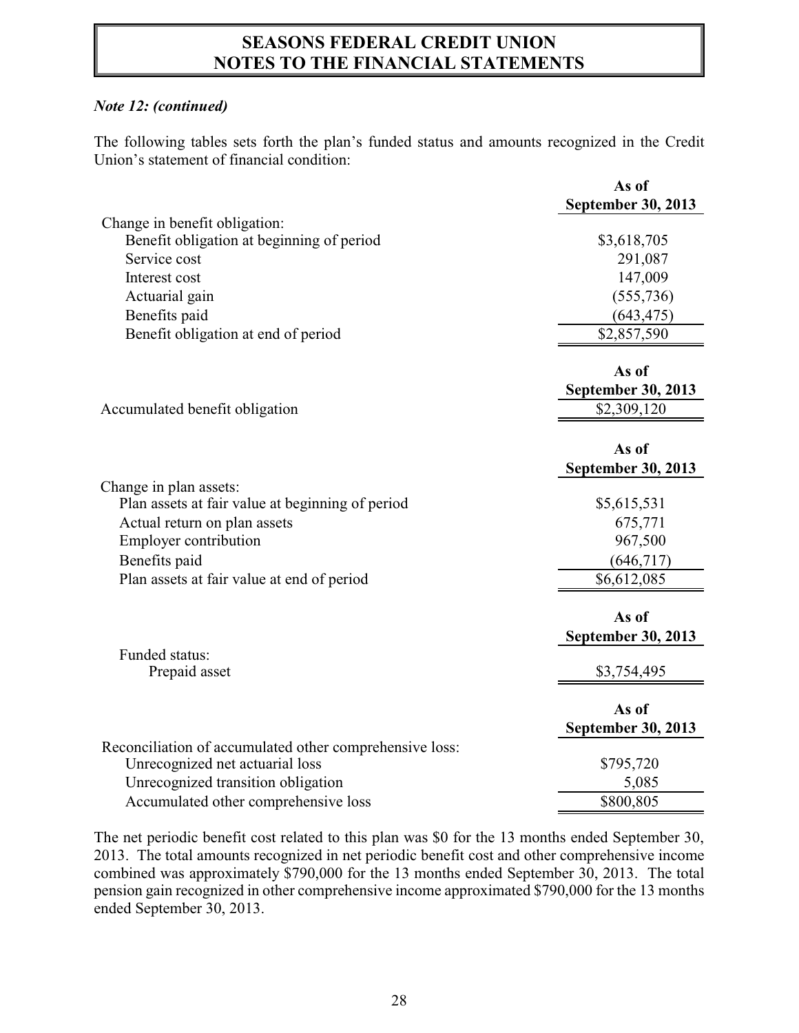#### *Note 12: (continued)*

The following tables sets forth the plan's funded status and amounts recognized in the Credit Union's statement of financial condition:

|                                                         | As of                     |
|---------------------------------------------------------|---------------------------|
|                                                         | <b>September 30, 2013</b> |
| Change in benefit obligation:                           |                           |
| Benefit obligation at beginning of period               | \$3,618,705               |
| Service cost                                            | 291,087                   |
| Interest cost                                           | 147,009                   |
| Actuarial gain                                          | (555, 736)                |
| Benefits paid                                           | (643, 475)                |
| Benefit obligation at end of period                     | \$2,857,590               |
|                                                         | As of                     |
|                                                         | <b>September 30, 2013</b> |
| Accumulated benefit obligation                          | \$2,309,120               |
|                                                         |                           |
|                                                         | As of                     |
|                                                         | <b>September 30, 2013</b> |
| Change in plan assets:                                  |                           |
| Plan assets at fair value at beginning of period        | \$5,615,531               |
| Actual return on plan assets                            | 675,771                   |
| <b>Employer contribution</b>                            | 967,500                   |
| Benefits paid                                           | (646, 717)                |
| Plan assets at fair value at end of period              | \$6,612,085               |
|                                                         | As of                     |
|                                                         | <b>September 30, 2013</b> |
| Funded status:                                          |                           |
| Prepaid asset                                           | \$3,754,495               |
|                                                         |                           |
|                                                         | As of                     |
|                                                         | <b>September 30, 2013</b> |
| Reconciliation of accumulated other comprehensive loss: |                           |
| Unrecognized net actuarial loss                         | \$795,720                 |
| Unrecognized transition obligation                      | 5,085                     |
| Accumulated other comprehensive loss                    | \$800,805                 |

The net periodic benefit cost related to this plan was \$0 for the 13 months ended September 30, 2013. The total amounts recognized in net periodic benefit cost and other comprehensive income combined was approximately \$790,000 for the 13 months ended September 30, 2013. The total pension gain recognized in other comprehensive income approximated \$790,000 for the 13 months ended September 30, 2013.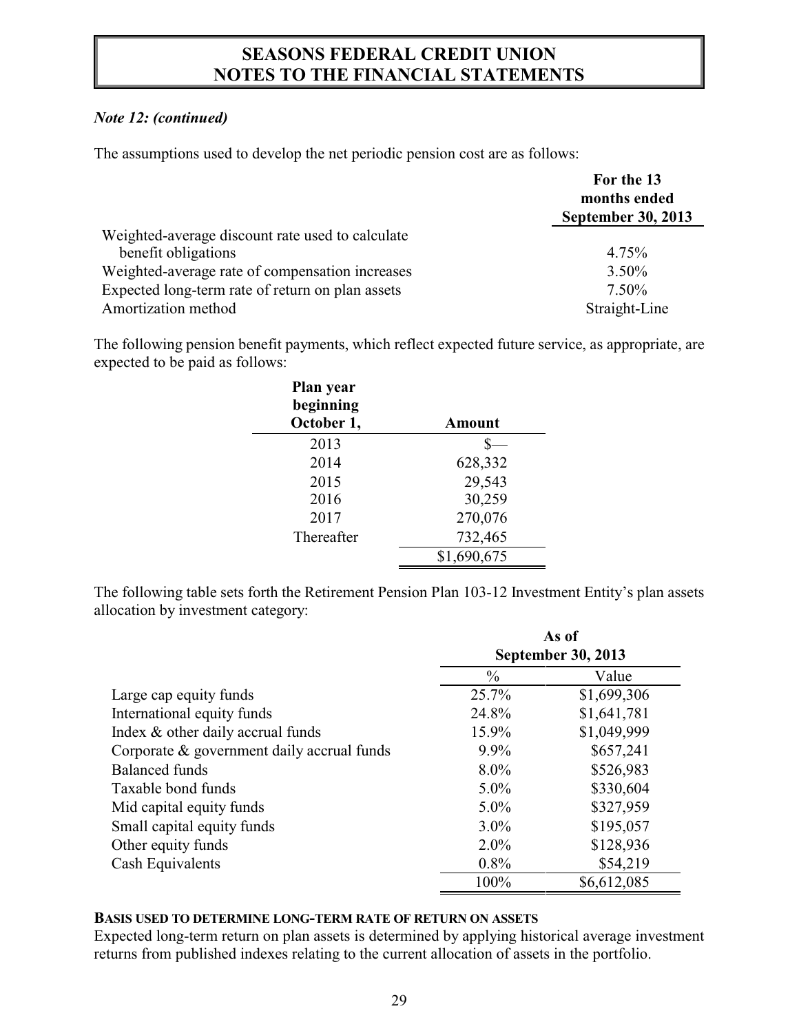#### *Note 12: (continued)*

The assumptions used to develop the net periodic pension cost are as follows:

|                                                                         | For the 13<br>months ended<br><b>September 30, 2013</b> |  |
|-------------------------------------------------------------------------|---------------------------------------------------------|--|
| Weighted-average discount rate used to calculate<br>benefit obligations | 4.75%                                                   |  |
| Weighted-average rate of compensation increases                         | $3.50\%$                                                |  |
| Expected long-term rate of return on plan assets                        | $7.50\%$                                                |  |
| Amortization method                                                     | Straight-Line                                           |  |

The following pension benefit payments, which reflect expected future service, as appropriate, are expected to be paid as follows:

| Plan year<br>beginning<br>October 1, | Amount      |
|--------------------------------------|-------------|
| 2013                                 |             |
| 2014                                 | 628,332     |
| 2015                                 | 29,543      |
| 2016                                 | 30,259      |
| 2017                                 | 270,076     |
| Thereafter                           | 732,465     |
|                                      | \$1,690,675 |

The following table sets forth the Retirement Pension Plan 103-12 Investment Entity's plan assets allocation by investment category:

|                                            | As of         |                           |  |  |
|--------------------------------------------|---------------|---------------------------|--|--|
|                                            |               | <b>September 30, 2013</b> |  |  |
|                                            | $\frac{0}{0}$ | Value                     |  |  |
| Large cap equity funds                     | 25.7%         | \$1,699,306               |  |  |
| International equity funds                 | 24.8%         | \$1,641,781               |  |  |
| Index & other daily accrual funds          | 15.9%         | \$1,049,999               |  |  |
| Corporate & government daily accrual funds | $9.9\%$       | \$657,241                 |  |  |
| <b>Balanced</b> funds                      | $8.0\%$       | \$526,983                 |  |  |
| Taxable bond funds                         | $5.0\%$       | \$330,604                 |  |  |
| Mid capital equity funds                   | $5.0\%$       | \$327,959                 |  |  |
| Small capital equity funds                 | $3.0\%$       | \$195,057                 |  |  |
| Other equity funds                         | $2.0\%$       | \$128,936                 |  |  |
| Cash Equivalents                           | $0.8\%$       | \$54,219                  |  |  |
|                                            | 100%          | \$6,612,085               |  |  |

#### **BASIS USED TO DETERMINE LONG-TERM RATE OF RETURN ON ASSETS**

Expected long-term return on plan assets is determined by applying historical average investment returns from published indexes relating to the current allocation of assets in the portfolio.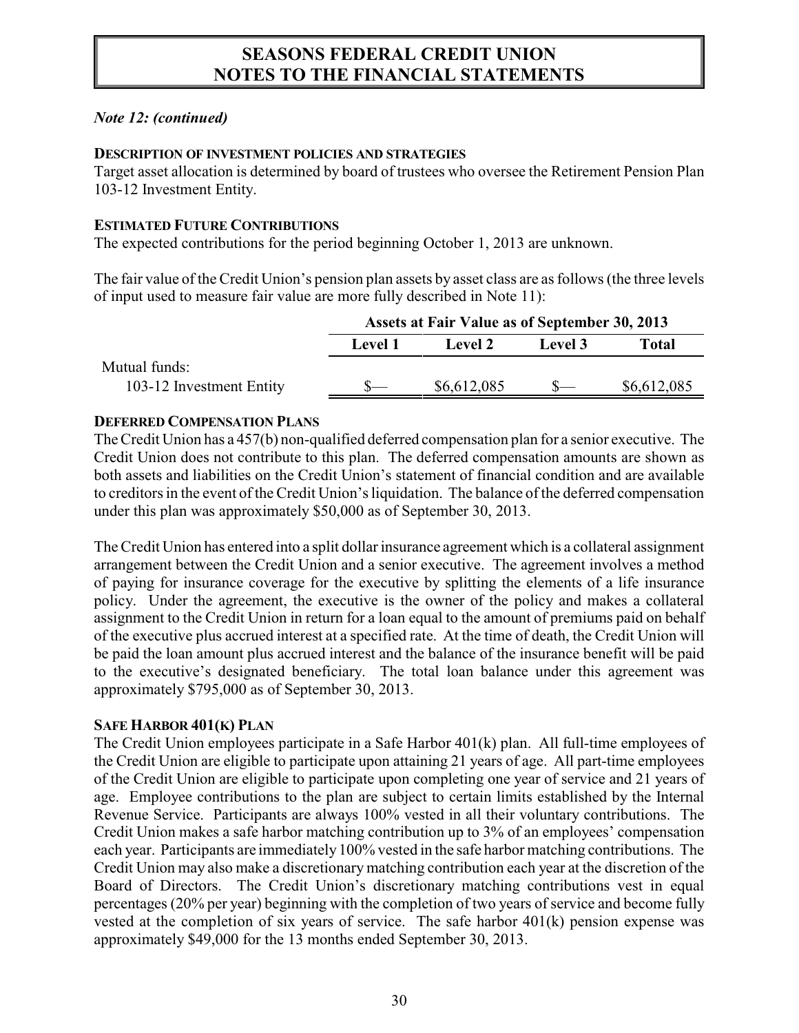#### *Note 12: (continued)*

#### **DESCRIPTION OF INVESTMENT POLICIES AND STRATEGIES**

Target asset allocation is determined by board of trustees who oversee the Retirement Pension Plan 103-12 Investment Entity.

#### **ESTIMATED FUTURE CONTRIBUTIONS**

The expected contributions for the period beginning October 1, 2013 are unknown.

The fair value of the Credit Union's pension plan assets by asset class are as follows (the three levels of input used to measure fair value are more fully described in Note 11):

|                          | Assets at Fair Value as of September 30, 2013 |             |         |             |
|--------------------------|-----------------------------------------------|-------------|---------|-------------|
|                          | Level 1                                       | Level 2     | Level 3 | Total       |
| Mutual funds:            |                                               |             |         |             |
| 103-12 Investment Entity |                                               | \$6,612,085 |         | \$6,612,085 |

#### **DEFERRED COMPENSATION PLANS**

The Credit Union has a 457(b) non-qualified deferred compensation plan for a senior executive. The Credit Union does not contribute to this plan. The deferred compensation amounts are shown as both assets and liabilities on the Credit Union's statement of financial condition and are available to creditors in the event of the Credit Union's liquidation. The balance of the deferred compensation under this plan was approximately \$50,000 as of September 30, 2013.

The Credit Union has entered into a split dollar insurance agreement which is a collateral assignment arrangement between the Credit Union and a senior executive. The agreement involves a method of paying for insurance coverage for the executive by splitting the elements of a life insurance policy. Under the agreement, the executive is the owner of the policy and makes a collateral assignment to the Credit Union in return for a loan equal to the amount of premiums paid on behalf of the executive plus accrued interest at a specified rate. At the time of death, the Credit Union will be paid the loan amount plus accrued interest and the balance of the insurance benefit will be paid to the executive's designated beneficiary. The total loan balance under this agreement was approximately \$795,000 as of September 30, 2013.

#### **SAFE HARBOR 401(K) PLAN**

The Credit Union employees participate in a Safe Harbor 401(k) plan. All full-time employees of the Credit Union are eligible to participate upon attaining 21 years of age. All part-time employees of the Credit Union are eligible to participate upon completing one year of service and 21 years of age. Employee contributions to the plan are subject to certain limits established by the Internal Revenue Service. Participants are always 100% vested in all their voluntary contributions. The Credit Union makes a safe harbor matching contribution up to 3% of an employees' compensation each year. Participants are immediately 100% vested in the safe harbor matching contributions. The Credit Union may also make a discretionary matching contribution each year at the discretion of the Board of Directors. The Credit Union's discretionary matching contributions vest in equal percentages (20% per year) beginning with the completion of two years of service and become fully vested at the completion of six years of service. The safe harbor 401(k) pension expense was approximately \$49,000 for the 13 months ended September 30, 2013.